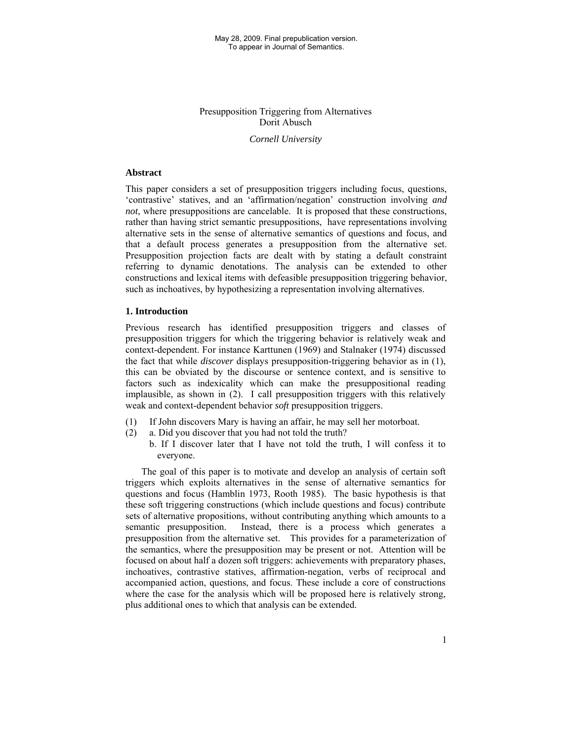# Presupposition Triggering from Alternatives Dorit Abusch

## *Cornell University*

## **Abstract**

This paper considers a set of presupposition triggers including focus, questions, 'contrastive' statives, and an 'affirmation/negation' construction involving *and not*, where presuppositions are cancelable. It is proposed that these constructions, rather than having strict semantic presuppositions, have representations involving alternative sets in the sense of alternative semantics of questions and focus, and that a default process generates a presupposition from the alternative set. Presupposition projection facts are dealt with by stating a default constraint referring to dynamic denotations. The analysis can be extended to other constructions and lexical items with defeasible presupposition triggering behavior, such as inchoatives, by hypothesizing a representation involving alternatives.

## **1. Introduction**

Previous research has identified presupposition triggers and classes of presupposition triggers for which the triggering behavior is relatively weak and context-dependent. For instance Karttunen (1969) and Stalnaker (1974) discussed the fact that while *discover* displays presupposition-triggering behavior as in (1), this can be obviated by the discourse or sentence context, and is sensitive to factors such as indexicality which can make the presuppositional reading implausible, as shown in (2). I call presupposition triggers with this relatively weak and context-dependent behavior *soft* presupposition triggers.

- (1) If John discovers Mary is having an affair, he may sell her motorboat.
- (2) a. Did you discover that you had not told the truth?
	- b. If I discover later that I have not told the truth, I will confess it to everyone.

The goal of this paper is to motivate and develop an analysis of certain soft triggers which exploits alternatives in the sense of alternative semantics for questions and focus (Hamblin 1973, Rooth 1985). The basic hypothesis is that these soft triggering constructions (which include questions and focus) contribute sets of alternative propositions, without contributing anything which amounts to a semantic presupposition. Instead, there is a process which generates a presupposition from the alternative set. This provides for a parameterization of the semantics, where the presupposition may be present or not. Attention will be focused on about half a dozen soft triggers: achievements with preparatory phases, inchoatives, contrastive statives, affirmation-negation, verbs of reciprocal and accompanied action, questions, and focus. These include a core of constructions where the case for the analysis which will be proposed here is relatively strong, plus additional ones to which that analysis can be extended.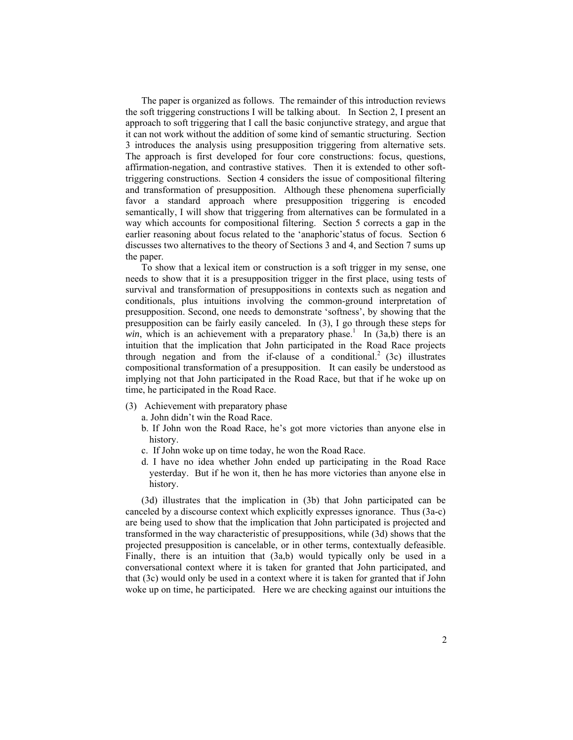The paper is organized as follows. The remainder of this introduction reviews the soft triggering constructions I will be talking about. In Section 2, I present an approach to soft triggering that I call the basic conjunctive strategy, and argue that it can not work without the addition of some kind of semantic structuring. Section 3 introduces the analysis using presupposition triggering from alternative sets. The approach is first developed for four core constructions: focus, questions, affirmation-negation, and contrastive statives. Then it is extended to other softtriggering constructions. Section 4 considers the issue of compositional filtering and transformation of presupposition. Although these phenomena superficially favor a standard approach where presupposition triggering is encoded semantically, I will show that triggering from alternatives can be formulated in a way which accounts for compositional filtering. Section 5 corrects a gap in the earlier reasoning about focus related to the 'anaphoric'status of focus. Section 6 discusses two alternatives to the theory of Sections 3 and 4, and Section 7 sums up the paper.

To show that a lexical item or construction is a soft trigger in my sense, one needs to show that it is a presupposition trigger in the first place, using tests of survival and transformation of presuppositions in contexts such as negation and conditionals, plus intuitions involving the common-ground interpretation of presupposition. Second, one needs to demonstrate 'softness', by showing that the presupposition can be fairly easily canceled. In (3), I go through these steps for *win*, which is an achievement with a preparatory phase.<sup>1</sup> In  $(3a,b)$  there is an intuition that the implication that John participated in the Road Race projects through negation and from the if-clause of a conditional.<sup>2</sup> (3c) illustrates compositional transformation of a presupposition. It can easily be understood as implying not that John participated in the Road Race, but that if he woke up on time, he participated in the Road Race.

- (3) Achievement with preparatory phase
	- a. John didn't win the Road Race.
	- b. If John won the Road Race, he's got more victories than anyone else in history.
	- c. If John woke up on time today, he won the Road Race.
	- d. I have no idea whether John ended up participating in the Road Race yesterday. But if he won it, then he has more victories than anyone else in history.

(3d) illustrates that the implication in (3b) that John participated can be canceled by a discourse context which explicitly expresses ignorance. Thus (3a-c) are being used to show that the implication that John participated is projected and transformed in the way characteristic of presuppositions, while (3d) shows that the projected presupposition is cancelable, or in other terms, contextually defeasible. Finally, there is an intuition that  $(3a,b)$  would typically only be used in a conversational context where it is taken for granted that John participated, and that (3c) would only be used in a context where it is taken for granted that if John woke up on time, he participated. Here we are checking against our intuitions the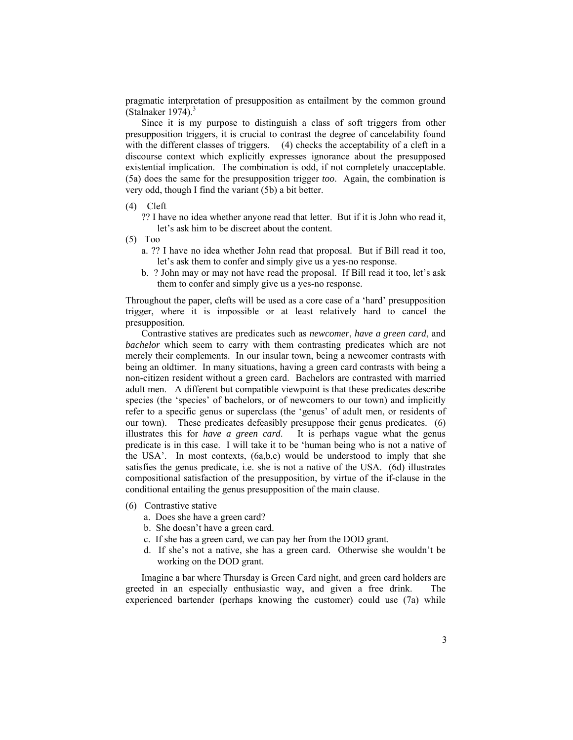pragmatic interpretation of presupposition as entailment by the common ground (Stalnaker 1974). $3$ 

Since it is my purpose to distinguish a class of soft triggers from other presupposition triggers, it is crucial to contrast the degree of cancelability found with the different classes of triggers. (4) checks the acceptability of a cleft in a discourse context which explicitly expresses ignorance about the presupposed existential implication. The combination is odd, if not completely unacceptable. (5a) does the same for the presupposition trigger *too*. Again, the combination is very odd, though I find the variant (5b) a bit better.

# (4) Cleft

?? I have no idea whether anyone read that letter. But if it is John who read it, let's ask him to be discreet about the content.

- (5) Too
	- a. ?? I have no idea whether John read that proposal. But if Bill read it too, let's ask them to confer and simply give us a yes-no response.
	- b. ? John may or may not have read the proposal. If Bill read it too, let's ask them to confer and simply give us a yes-no response.

Throughout the paper, clefts will be used as a core case of a 'hard' presupposition trigger, where it is impossible or at least relatively hard to cancel the presupposition.

Contrastive statives are predicates such as *newcomer*, *have a green card*, and *bachelor* which seem to carry with them contrasting predicates which are not merely their complements. In our insular town, being a newcomer contrasts with being an oldtimer. In many situations, having a green card contrasts with being a non-citizen resident without a green card. Bachelors are contrasted with married adult men. A different but compatible viewpoint is that these predicates describe species (the 'species' of bachelors, or of newcomers to our town) and implicitly refer to a specific genus or superclass (the 'genus' of adult men, or residents of our town). These predicates defeasibly presuppose their genus predicates. (6) illustrates this for *have a green card*. It is perhaps vague what the genus predicate is in this case. I will take it to be 'human being who is not a native of the USA'. In most contexts,  $(6a,b,c)$  would be understood to imply that she satisfies the genus predicate, i.e. she is not a native of the USA. (6d) illustrates compositional satisfaction of the presupposition, by virtue of the if-clause in the conditional entailing the genus presupposition of the main clause.

- (6) Contrastive stative
	- a. Does she have a green card?
	- b. She doesn't have a green card.
	- c. If she has a green card, we can pay her from the DOD grant.
	- d. If she's not a native, she has a green card. Otherwise she wouldn't be working on the DOD grant.

Imagine a bar where Thursday is Green Card night, and green card holders are greeted in an especially enthusiastic way, and given a free drink. The experienced bartender (perhaps knowing the customer) could use (7a) while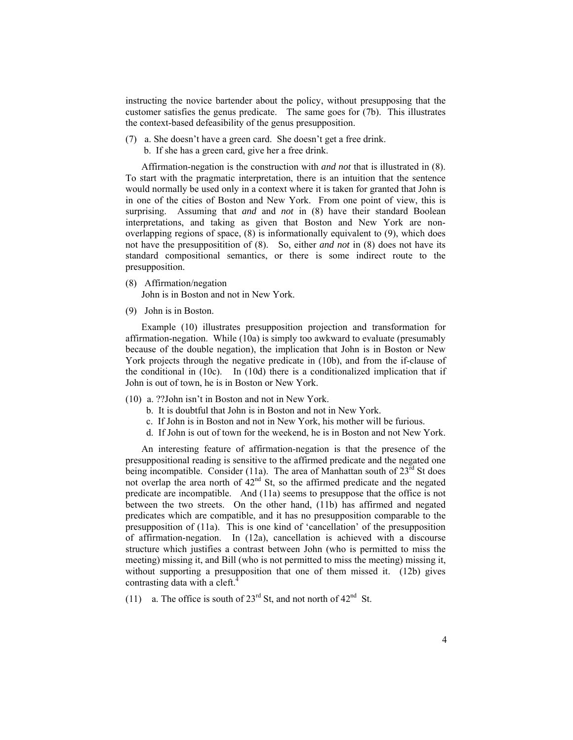instructing the novice bartender about the policy, without presupposing that the customer satisfies the genus predicate. The same goes for (7b). This illustrates the context-based defeasibility of the genus presupposition.

(7) a. She doesn't have a green card. She doesn't get a free drink. b. If she has a green card, give her a free drink.

Affirmation-negation is the construction with *and not* that is illustrated in (8). To start with the pragmatic interpretation, there is an intuition that the sentence would normally be used only in a context where it is taken for granted that John is in one of the cities of Boston and New York. From one point of view, this is surprising. Assuming that *and* and *not* in (8) have their standard Boolean interpretations, and taking as given that Boston and New York are nonoverlapping regions of space, (8) is informationally equivalent to (9), which does not have the presuppositition of (8). So, either *and not* in (8) does not have its standard compositional semantics, or there is some indirect route to the presupposition.

- (8) Affirmation/negation John is in Boston and not in New York.
- (9) John is in Boston.

Example (10) illustrates presupposition projection and transformation for affirmation-negation. While (10a) is simply too awkward to evaluate (presumably because of the double negation), the implication that John is in Boston or New York projects through the negative predicate in (10b), and from the if-clause of the conditional in  $(10c)$ . In  $(10d)$  there is a conditionalized implication that if John is out of town, he is in Boston or New York.

- (10) a. ??John isn't in Boston and not in New York.
	- b. It is doubtful that John is in Boston and not in New York.
	- c. If John is in Boston and not in New York, his mother will be furious.
	- d. If John is out of town for the weekend, he is in Boston and not New York.

An interesting feature of affirmation-negation is that the presence of the presuppositional reading is sensitive to the affirmed predicate and the negated one being incompatible. Consider (11a). The area of Manhattan south of  $23^{\text{rd}}$  St does not overlap the area north of  $42<sup>nd</sup>$  St, so the affirmed predicate and the negated predicate are incompatible. And (11a) seems to presuppose that the office is not between the two streets. On the other hand, (11b) has affirmed and negated predicates which are compatible, and it has no presupposition comparable to the presupposition of (11a). This is one kind of 'cancellation' of the presupposition of affirmation-negation. In (12a), cancellation is achieved with a discourse structure which justifies a contrast between John (who is permitted to miss the meeting) missing it, and Bill (who is not permitted to miss the meeting) missing it, without supporting a presupposition that one of them missed it. (12b) gives contrasting data with a cleft.<sup>4</sup>

(11) a. The office is south of  $23<sup>rd</sup>$  St, and not north of  $42<sup>nd</sup>$  St.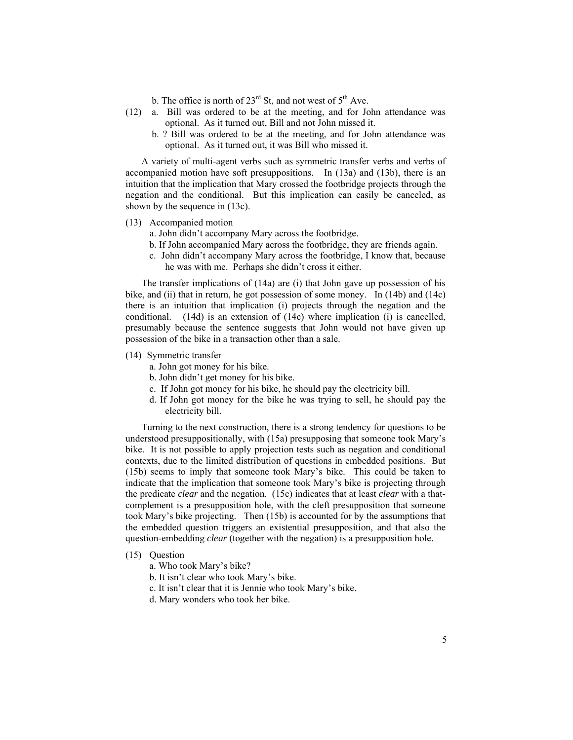- b. The office is north of  $23<sup>rd</sup>$  St, and not west of  $5<sup>th</sup>$  Ave.
- (12) a. Bill was ordered to be at the meeting, and for John attendance was optional. As it turned out, Bill and not John missed it.
	- b. ? Bill was ordered to be at the meeting, and for John attendance was optional. As it turned out, it was Bill who missed it.

A variety of multi-agent verbs such as symmetric transfer verbs and verbs of accompanied motion have soft presuppositions. In (13a) and (13b), there is an intuition that the implication that Mary crossed the footbridge projects through the negation and the conditional. But this implication can easily be canceled, as shown by the sequence in (13c).

(13) Accompanied motion

a. John didn't accompany Mary across the footbridge.

- b. If John accompanied Mary across the footbridge, they are friends again.
- c. John didn't accompany Mary across the footbridge, I know that, because he was with me. Perhaps she didn't cross it either.

The transfer implications of (14a) are (i) that John gave up possession of his bike, and (ii) that in return, he got possession of some money. In (14b) and (14c) there is an intuition that implication (i) projects through the negation and the conditional. (14d) is an extension of (14c) where implication (i) is cancelled, presumably because the sentence suggests that John would not have given up possession of the bike in a transaction other than a sale.

- (14) Symmetric transfer
	- a. John got money for his bike.
	- b. John didn't get money for his bike.
	- c. If John got money for his bike, he should pay the electricity bill.
	- d. If John got money for the bike he was trying to sell, he should pay the electricity bill.

Turning to the next construction, there is a strong tendency for questions to be understood presuppositionally, with (15a) presupposing that someone took Mary's bike. It is not possible to apply projection tests such as negation and conditional contexts, due to the limited distribution of questions in embedded positions. But (15b) seems to imply that someone took Mary's bike. This could be taken to indicate that the implication that someone took Mary's bike is projecting through the predicate *clear* and the negation. (15c) indicates that at least *clear* with a thatcomplement is a presupposition hole, with the cleft presupposition that someone took Mary's bike projecting. Then (15b) is accounted for by the assumptions that the embedded question triggers an existential presupposition, and that also the question-embedding *clear* (together with the negation) is a presupposition hole.

- (15) Question
	- a. Who took Mary's bike?
	- b. It isn't clear who took Mary's bike.
	- c. It isn't clear that it is Jennie who took Mary's bike.
	- d. Mary wonders who took her bike.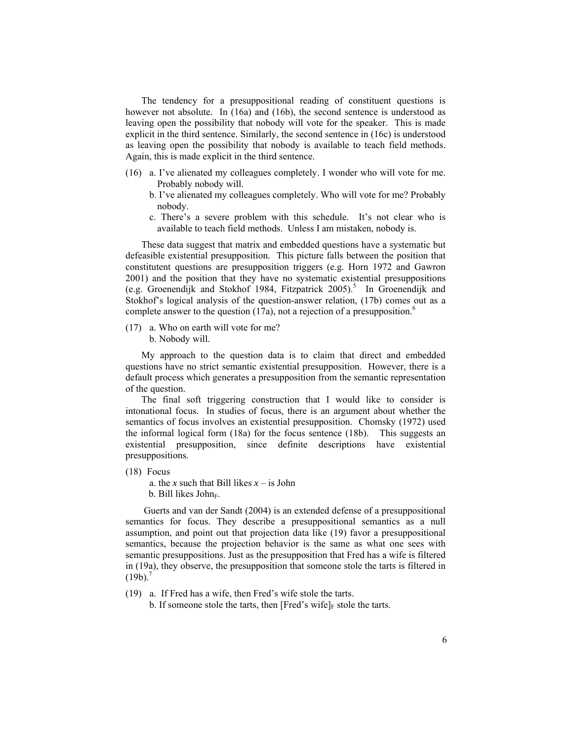The tendency for a presuppositional reading of constituent questions is however not absolute. In (16a) and (16b), the second sentence is understood as leaving open the possibility that nobody will vote for the speaker. This is made explicit in the third sentence. Similarly, the second sentence in (16c) is understood as leaving open the possibility that nobody is available to teach field methods. Again, this is made explicit in the third sentence.

- (16) a. I've alienated my colleagues completely. I wonder who will vote for me. Probably nobody will.
	- b. I've alienated my colleagues completely. Who will vote for me? Probably nobody.
	- c. There's a severe problem with this schedule. It's not clear who is available to teach field methods. Unless I am mistaken, nobody is.

These data suggest that matrix and embedded questions have a systematic but defeasible existential presupposition. This picture falls between the position that constitutent questions are presupposition triggers (e.g. Horn 1972 and Gawron 2001) and the position that they have no systematic existential presuppositions (e.g. Groenendijk and Stokhof 1984, Fitzpatrick 2005).<sup>5</sup> In Groenendijk and Stokhof's logical analysis of the question-answer relation, (17b) comes out as a complete answer to the question (17a), not a rejection of a presupposition.<sup>6</sup>

(17) a. Who on earth will vote for me? b. Nobody will.

My approach to the question data is to claim that direct and embedded questions have no strict semantic existential presupposition. However, there is a default process which generates a presupposition from the semantic representation of the question.

The final soft triggering construction that I would like to consider is intonational focus. In studies of focus, there is an argument about whether the semantics of focus involves an existential presupposition. Chomsky (1972) used the informal logical form (18a) for the focus sentence (18b). This suggests an existential presupposition, since definite descriptions have existential presuppositions.

(18) Focus

a. the *x* such that Bill likes  $x -$  is John  $b.$  Bill likes John $_{F.}$ 

 Guerts and van der Sandt (2004) is an extended defense of a presuppositional semantics for focus. They describe a presuppositional semantics as a null assumption, and point out that projection data like (19) favor a presuppositional semantics, because the projection behavior is the same as what one sees with semantic presuppositions. Just as the presupposition that Fred has a wife is filtered in (19a), they observe, the presupposition that someone stole the tarts is filtered in  $(19b)^7$ 

(19) a. If Fred has a wife, then Fred's wife stole the tarts.

b. If someone stole the tarts, then [Fred's wife] $_F$  stole the tarts.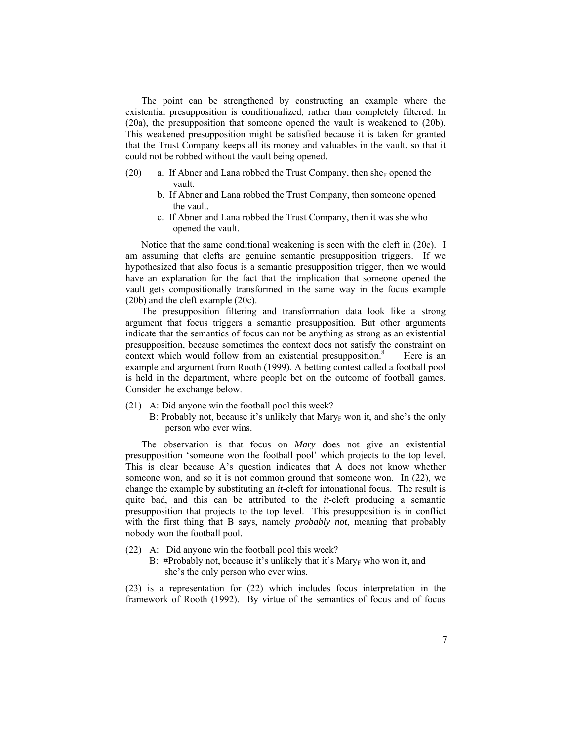The point can be strengthened by constructing an example where the existential presupposition is conditionalized, rather than completely filtered. In (20a), the presupposition that someone opened the vault is weakened to (20b). This weakened presupposition might be satisfied because it is taken for granted that the Trust Company keeps all its money and valuables in the vault, so that it could not be robbed without the vault being opened.

- (20) a. If Abner and Lana robbed the Trust Company, then she<sub>F</sub> opened the vault.
	- b. If Abner and Lana robbed the Trust Company, then someone opened the vault.
	- c. If Abner and Lana robbed the Trust Company, then it was she who opened the vault.

Notice that the same conditional weakening is seen with the cleft in (20c). I am assuming that clefts are genuine semantic presupposition triggers. If we hypothesized that also focus is a semantic presupposition trigger, then we would have an explanation for the fact that the implication that someone opened the vault gets compositionally transformed in the same way in the focus example (20b) and the cleft example (20c).

The presupposition filtering and transformation data look like a strong argument that focus triggers a semantic presupposition. But other arguments indicate that the semantics of focus can not be anything as strong as an existential presupposition, because sometimes the context does not satisfy the constraint on context which would follow from an existential presupposition.<sup>8</sup> Here is an example and argument from Rooth (1999). A betting contest called a football pool is held in the department, where people bet on the outcome of football games. Consider the exchange below.

- (21) A: Did anyone win the football pool this week?
	- B: Probably not, because it's unlikely that  $\text{Mary}_{\text{F}}$  won it, and she's the only person who ever wins.

The observation is that focus on *Mary* does not give an existential presupposition 'someone won the football pool' which projects to the top level. This is clear because A's question indicates that A does not know whether someone won, and so it is not common ground that someone won. In (22), we change the example by substituting an *it*-cleft for intonational focus. The result is quite bad, and this can be attributed to the *it*-cleft producing a semantic presupposition that projects to the top level. This presupposition is in conflict with the first thing that B says, namely *probably not*, meaning that probably nobody won the football pool.

- (22) A: Did anyone win the football pool this week?
	- B: #Probably not, because it's unlikely that it's Mary<sub>F</sub> who won it, and she's the only person who ever wins.

(23) is a representation for (22) which includes focus interpretation in the framework of Rooth (1992). By virtue of the semantics of focus and of focus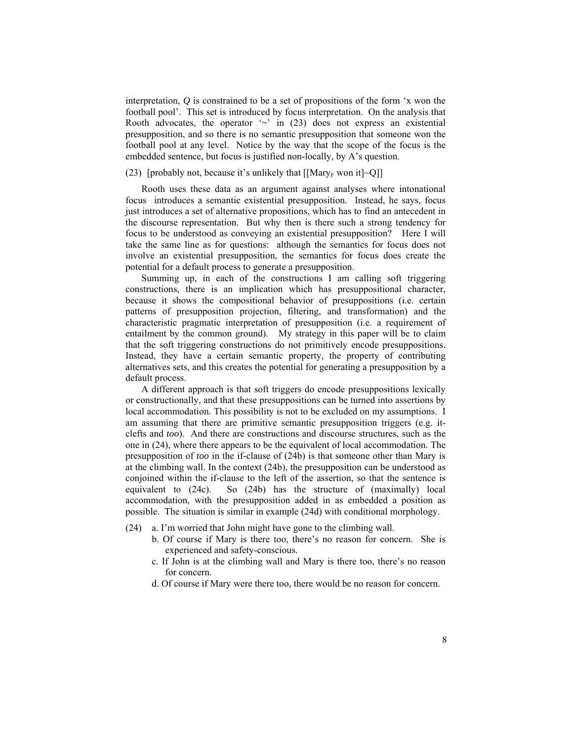interpretation, *Q* is constrained to be a set of propositions of the form 'x won the football pool'. This set is introduced by focus interpretation. On the analysis that Rooth advocates, the operator '*~*' in (23) does not express an existential presupposition, and so there is no semantic presupposition that someone won the football pool at any level. Notice by the way that the scope of the focus is the embedded sentence, but focus is justified non-locally, by A's question.

## (23) [probably not, because it's unlikely that  $[[\text{Mary}_F \text{ won it}] \sim Q]]$

Rooth uses these data as an argument against analyses where intonational focus introduces a semantic existential presupposition. Instead, he says, focus just introduces a set of alternative propositions, which has to find an antecedent in the discourse representation. But why then is there such a strong tendency for focus to be understood as conveying an existential presupposition? Here I will take the same line as for questions: although the semantics for focus does not involve an existential presupposition, the semantics for focus does create the potential for a default process to generate a presupposition.

Summing up, in each of the constructions I am calling soft triggering constructions, there is an implication which has presuppositional character, because it shows the compositional behavior of presuppositions (i.e. certain patterns of presupposition projection, filtering, and transformation) and the characteristic pragmatic interpretation of presupposition (i.e. a requirement of entailment by the common ground). My strategy in this paper will be to claim that the soft triggering constructions do not primitively encode presuppositions. Instead, they have a certain semantic property, the property of contributing alternatives sets, and this creates the potential for generating a presupposition by a default process.

A different approach is that soft triggers do encode presuppositions lexically or constructionally, and that these presuppositions can be turned into assertions by local accommodation. This possibility is not to be excluded on my assumptions. I am assuming that there are primitive semantic presupposition triggers (e.g. itclefts and *too*). And there are constructions and discourse structures, such as the one in (24), where there appears to be the equivalent of local accommodation. The presupposition of *too* in the if-clause of (24b) is that someone other than Mary is at the climbing wall. In the context (24b), the presupposition can be understood as conjoined within the if-clause to the left of the assertion, so that the sentence is equivalent to (24c). So (24b) has the structure of (maximally) local accommodation, with the presupposition added in as embedded a position as possible. The situation is similar in example (24d) with conditional morphology.

- (24) a. I'm worried that John might have gone to the climbing wall.
	- b. Of course if Mary is there too, there's no reason for concern. She is experienced and safety-conscious.
	- c. If John is at the climbing wall and Mary is there too, there's no reason for concern.
	- d. Of course if Mary were there too, there would be no reason for concern.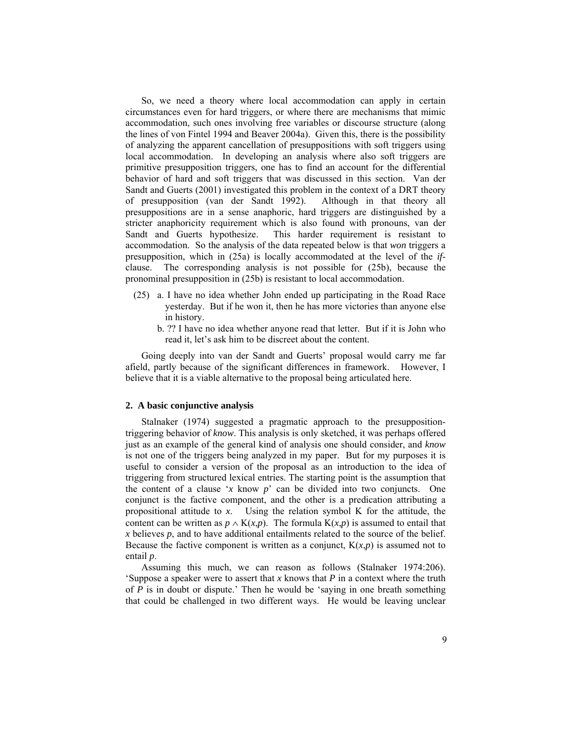So, we need a theory where local accommodation can apply in certain circumstances even for hard triggers, or where there are mechanisms that mimic accommodation, such ones involving free variables or discourse structure (along the lines of von Fintel 1994 and Beaver 2004a). Given this, there is the possibility of analyzing the apparent cancellation of presuppositions with soft triggers using local accommodation. In developing an analysis where also soft triggers are primitive presupposition triggers, one has to find an account for the differential behavior of hard and soft triggers that was discussed in this section. Van der Sandt and Guerts (2001) investigated this problem in the context of a DRT theory of presupposition (van der Sandt 1992). Although in that theory all presuppositions are in a sense anaphoric, hard triggers are distinguished by a stricter anaphoricity requirement which is also found with pronouns, van der Sandt and Guerts hypothesize. This harder requirement is resistant to accommodation. So the analysis of the data repeated below is that *won* triggers a presupposition, which in (25a) is locally accommodated at the level of the *if*clause. The corresponding analysis is not possible for (25b), because the pronominal presupposition in (25b) is resistant to local accommodation.

- (25) a. I have no idea whether John ended up participating in the Road Race yesterday. But if he won it, then he has more victories than anyone else in history.
	- b. ?? I have no idea whether anyone read that letter. But if it is John who read it, let's ask him to be discreet about the content.

Going deeply into van der Sandt and Guerts' proposal would carry me far afield, partly because of the significant differences in framework. However, I believe that it is a viable alternative to the proposal being articulated here.

## **2. A basic conjunctive analysis**

Stalnaker (1974) suggested a pragmatic approach to the presuppositiontriggering behavior of *know*. This analysis is only sketched, it was perhaps offered just as an example of the general kind of analysis one should consider, and *know* is not one of the triggers being analyzed in my paper. But for my purposes it is useful to consider a version of the proposal as an introduction to the idea of triggering from structured lexical entries. The starting point is the assumption that the content of a clause '*x* know *p*' can be divided into two conjuncts. One conjunct is the factive component, and the other is a predication attributing a propositional attitude to *x*. Using the relation symbol K for the attitude, the content can be written as  $p \wedge K(x,p)$ . The formula  $K(x,p)$  is assumed to entail that  $x$  believes  $p$ , and to have additional entailments related to the source of the belief. Because the factive component is written as a conjunct,  $K(x,p)$  is assumed not to entail *p*.

Assuming this much, we can reason as follows (Stalnaker 1974:206). 'Suppose a speaker were to assert that *x* knows that *P* in a context where the truth of *P* is in doubt or dispute.' Then he would be 'saying in one breath something that could be challenged in two different ways. He would be leaving unclear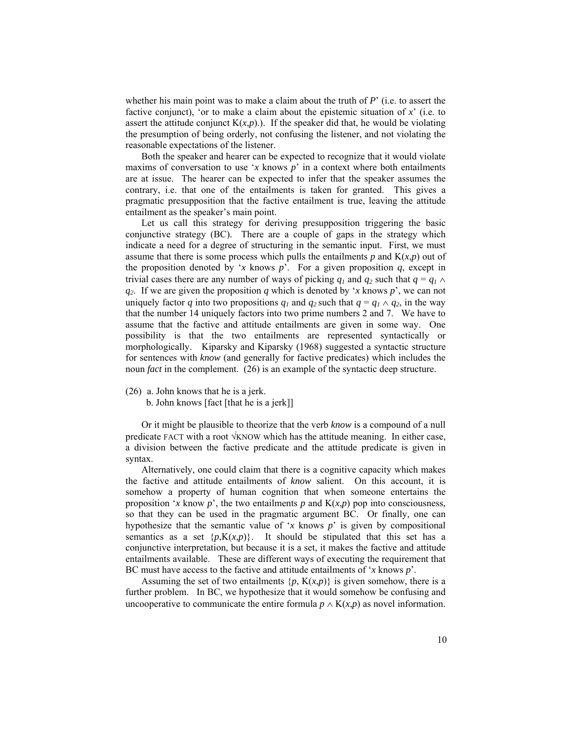whether his main point was to make a claim about the truth of *P*' (i.e. to assert the factive conjunct), 'or to make a claim about the epistemic situation of  $x'$  (i.e. to assert the attitude conjunct  $K(x,p)$ .). If the speaker did that, he would be violating the presumption of being orderly, not confusing the listener, and not violating the reasonable expectations of the listener.

Both the speaker and hearer can be expected to recognize that it would violate maxims of conversation to use '*x* knows *p*' in a context where both entailments are at issue. The hearer can be expected to infer that the speaker assumes the contrary, i.e. that one of the entailments is taken for granted. This gives a pragmatic presupposition that the factive entailment is true, leaving the attitude entailment as the speaker's main point.

Let us call this strategy for deriving presupposition triggering the basic conjunctive strategy (BC). There are a couple of gaps in the strategy which indicate a need for a degree of structuring in the semantic input. First, we must assume that there is some process which pulls the entailments  $p$  and  $K(x, p)$  out of the proposition denoted by '*x* knows  $p$ '. For a given proposition  $q$ , except in trivial cases there are any number of ways of picking  $q_1$  and  $q_2$  such that  $q = q_1 \wedge$ *q2*. If we are given the proposition *q* which is denoted by '*x* knows *p*', we can not uniquely factor *q* into two propositions  $q_1$  and  $q_2$  such that  $q = q_1 \wedge q_2$ , in the way that the number 14 uniquely factors into two prime numbers 2 and 7. We have to assume that the factive and attitude entailments are given in some way. One possibility is that the two entailments are represented syntactically or morphologically. Kiparsky and Kiparsky (1968) suggested a syntactic structure for sentences with *know* (and generally for factive predicates) which includes the noun *fact* in the complement. (26) is an example of the syntactic deep structure.

(26) a. John knows that he is a jerk.

b. John knows [fact [that he is a jerk]]

Or it might be plausible to theorize that the verb *know* is a compound of a null predicate FACT with a root  $\sqrt{k}NOW$  which has the attitude meaning. In either case, a division between the factive predicate and the attitude predicate is given in syntax.

Alternatively, one could claim that there is a cognitive capacity which makes the factive and attitude entailments of *know* salient. On this account, it is somehow a property of human cognition that when someone entertains the proposition '*x* know  $p$ ', the two entailments  $p$  and  $K(x, p)$  pop into consciousness, so that they can be used in the pragmatic argument BC. Or finally, one can hypothesize that the semantic value of '*x* knows *p*' is given by compositional semantics as a set  $\{p, K(x,p)\}\$ . It should be stipulated that this set has a conjunctive interpretation, but because it is a set, it makes the factive and attitude entailments available. These are different ways of executing the requirement that BC must have access to the factive and attitude entailments of '*x* knows *p*'.

Assuming the set of two entailments  $\{p, K(x,p)\}\$ is given somehow, there is a further problem. In BC, we hypothesize that it would somehow be confusing and uncooperative to communicate the entire formula  $p \wedge K(x,p)$  as novel information.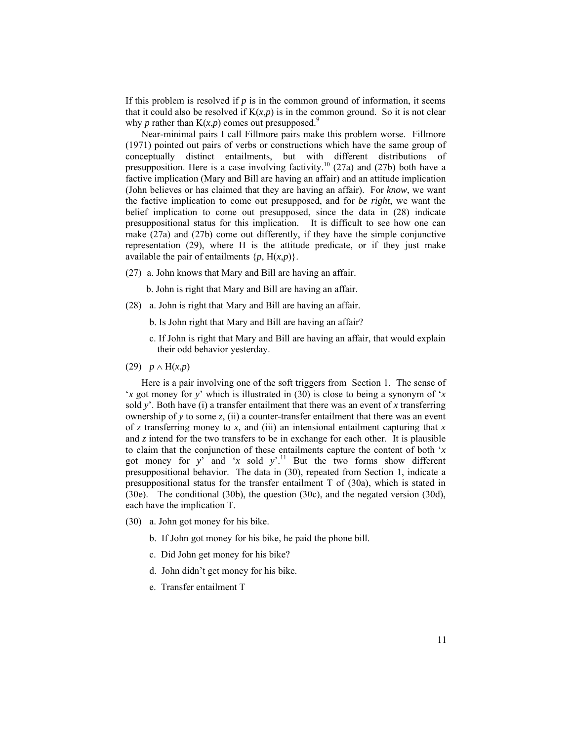If this problem is resolved if  $p$  is in the common ground of information, it seems that it could also be resolved if  $K(x,p)$  is in the common ground. So it is not clear why *p* rather than  $K(x,p)$  comes out presupposed.<sup>9</sup>

Near-minimal pairs I call Fillmore pairs make this problem worse. Fillmore (1971) pointed out pairs of verbs or constructions which have the same group of conceptually distinct entailments, but with different distributions of presupposition. Here is a case involving factivity.<sup>10</sup> (27a) and (27b) both have a factive implication (Mary and Bill are having an affair) and an attitude implication (John believes or has claimed that they are having an affair). For *know*, we want the factive implication to come out presupposed, and for *be right*, we want the belief implication to come out presupposed, since the data in (28) indicate presuppositional status for this implication. It is difficult to see how one can make (27a) and (27b) come out differently, if they have the simple conjunctive representation (29), where H is the attitude predicate, or if they just make available the pair of entailments  $\{p, H(x,p)\}\.$ 

(27) a. John knows that Mary and Bill are having an affair.

b. John is right that Mary and Bill are having an affair.

- (28) a. John is right that Mary and Bill are having an affair.
	- b. Is John right that Mary and Bill are having an affair?
	- c. If John is right that Mary and Bill are having an affair, that would explain their odd behavior yesterday.
- (29) *p* ∧ H(*x*,*p*)

Here is a pair involving one of the soft triggers from Section 1. The sense of '*x* got money for *y*' which is illustrated in (30) is close to being a synonym of '*x* sold  $y'$ . Both have (i) a transfer entailment that there was an event of x transferring ownership of *y* to some *z*, (ii) a counter-transfer entailment that there was an event of *z* transferring money to *x*, and (iii) an intensional entailment capturing that *x* and *z* intend for the two transfers to be in exchange for each other. It is plausible to claim that the conjunction of these entailments capture the content of both '*x* got money for  $y'$  and 'x sold  $y'$ .<sup>11</sup> But the two forms show different presuppositional behavior. The data in (30), repeated from Section 1, indicate a presuppositional status for the transfer entailment T of (30a), which is stated in (30e). The conditional (30b), the question (30c), and the negated version (30d), each have the implication T.

- (30) a. John got money for his bike.
	- b. If John got money for his bike, he paid the phone bill.
	- c. Did John get money for his bike?
	- d. John didn't get money for his bike.
	- e. Transfer entailment T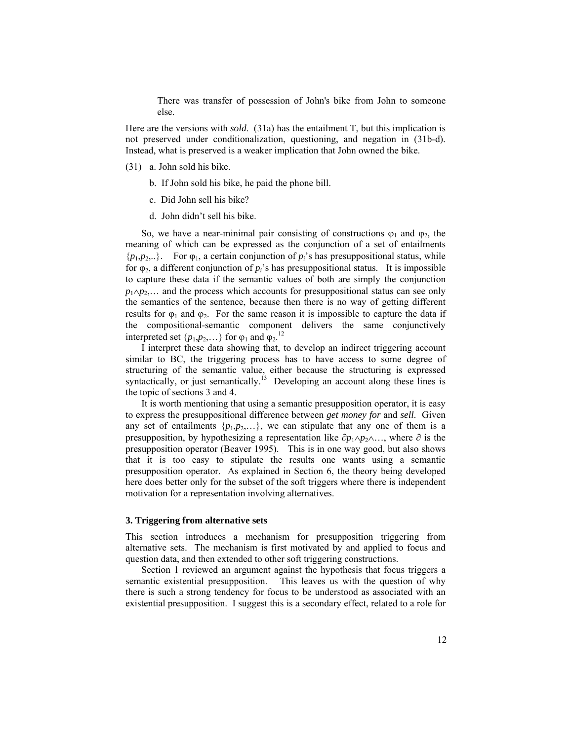There was transfer of possession of John's bike from John to someone else.

Here are the versions with *sold*. (31a) has the entailment T, but this implication is not preserved under conditionalization, questioning, and negation in (31b-d). Instead, what is preserved is a weaker implication that John owned the bike.

- (31) a. John sold his bike.
	- b. If John sold his bike, he paid the phone bill.
	- c. Did John sell his bike?
	- d. John didn't sell his bike.

So, we have a near-minimal pair consisting of constructions  $\varphi_1$  and  $\varphi_2$ , the meaning of which can be expressed as the conjunction of a set of entailments  ${p_1, p_2, \ldots}$ . For  $\varphi_1$ , a certain conjunction of  $p_i$ 's has presuppositional status, while for  $\varphi_2$ , a different conjunction of  $p_i$ 's has presuppositional status. It is impossible to capture these data if the semantic values of both are simply the conjunction *p*<sub>1</sub>∧*p*<sub>2</sub>,… and the process which accounts for presuppositional status can see only the semantics of the sentence, because then there is no way of getting different results for  $\varphi_1$  and  $\varphi_2$ . For the same reason it is impossible to capture the data if the compositional-semantic component delivers the same conjunctively interpreted set  $\{p_1, p_2, ...\}$  for  $\varphi_1$  and  $\varphi_2$ .<sup>12</sup>

I interpret these data showing that, to develop an indirect triggering account similar to BC, the triggering process has to have access to some degree of structuring of the semantic value, either because the structuring is expressed syntactically, or just semantically.<sup>13</sup> Developing an account along these lines is the topic of sections 3 and 4.

It is worth mentioning that using a semantic presupposition operator, it is easy to express the presuppositional difference between *get money for* and *sell*. Given any set of entailments  $\{p_1, p_2, ...\}$ , we can stipulate that any one of them is a presupposition, by hypothesizing a representation like  $\partial p_1 \wedge p_2 \wedge \dots$ , where  $\partial$  is the presupposition operator (Beaver 1995). This is in one way good, but also shows that it is too easy to stipulate the results one wants using a semantic presupposition operator. As explained in Section 6, the theory being developed here does better only for the subset of the soft triggers where there is independent motivation for a representation involving alternatives.

#### **3. Triggering from alternative sets**

This section introduces a mechanism for presupposition triggering from alternative sets. The mechanism is first motivated by and applied to focus and question data, and then extended to other soft triggering constructions.

Section 1 reviewed an argument against the hypothesis that focus triggers a semantic existential presupposition. This leaves us with the question of why there is such a strong tendency for focus to be understood as associated with an existential presupposition. I suggest this is a secondary effect, related to a role for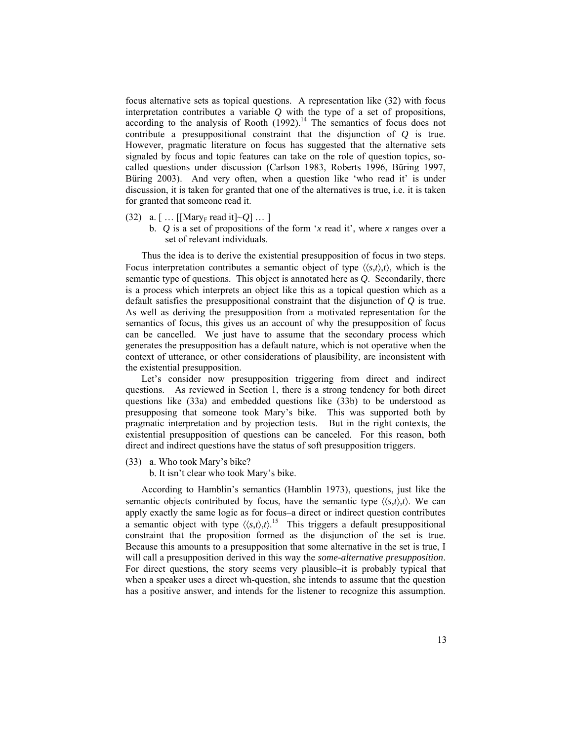focus alternative sets as topical questions. A representation like (32) with focus interpretation contributes a variable *Q* with the type of a set of propositions, according to the analysis of Rooth  $(1992)$ .<sup>14</sup> The semantics of focus does not contribute a presuppositional constraint that the disjunction of *Q* is true. However, pragmatic literature on focus has suggested that the alternative sets signaled by focus and topic features can take on the role of question topics, socalled questions under discussion (Carlson 1983, Roberts 1996, Büring 1997, Büring 2003). And very often, when a question like 'who read it' is under discussion, it is taken for granted that one of the alternatives is true, i.e. it is taken for granted that someone read it.

- $(32)$  a. [ ... [[Mary<sub>F</sub> read it] $\sim$ *O*] ... ]
	- b. *Q* is a set of propositions of the form '*x* read it', where *x* ranges over a set of relevant individuals.

Thus the idea is to derive the existential presupposition of focus in two steps. Focus interpretation contributes a semantic object of type  $\langle \langle s,t \rangle, t \rangle$ , which is the semantic type of questions. This object is annotated here as *Q*. Secondarily, there is a process which interprets an object like this as a topical question which as a default satisfies the presuppositional constraint that the disjunction of *Q* is true. As well as deriving the presupposition from a motivated representation for the semantics of focus, this gives us an account of why the presupposition of focus can be cancelled. We just have to assume that the secondary process which generates the presupposition has a default nature, which is not operative when the context of utterance, or other considerations of plausibility, are inconsistent with the existential presupposition.

Let's consider now presupposition triggering from direct and indirect questions. As reviewed in Section 1, there is a strong tendency for both direct questions like (33a) and embedded questions like (33b) to be understood as presupposing that someone took Mary's bike. This was supported both by pragmatic interpretation and by projection tests. But in the right contexts, the existential presupposition of questions can be canceled. For this reason, both direct and indirect questions have the status of soft presupposition triggers.

(33) a. Who took Mary's bike?

b. It isn't clear who took Mary's bike.

According to Hamblin's semantics (Hamblin 1973), questions, just like the semantic objects contributed by focus, have the semantic type  $\langle \langle s,t \rangle, t \rangle$ . We can apply exactly the same logic as for focus–a direct or indirect question contributes a semantic object with type  $\langle \langle s,t \rangle, t \rangle$ .<sup>15</sup> This triggers a default presuppositional constraint that the proposition formed as the disjunction of the set is true. Because this amounts to a presupposition that some alternative in the set is true, I will call a presupposition derived in this way the *some-alternative presupposition*. For direct questions, the story seems very plausible–it is probably typical that when a speaker uses a direct wh-question, she intends to assume that the question has a positive answer, and intends for the listener to recognize this assumption.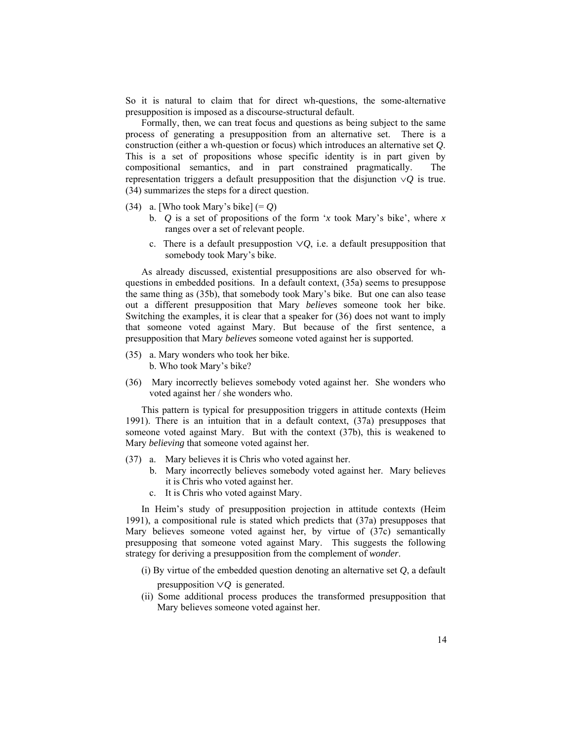So it is natural to claim that for direct wh-questions, the some-alternative presupposition is imposed as a discourse-structural default.

Formally, then, we can treat focus and questions as being subject to the same process of generating a presupposition from an alternative set. There is a construction (either a wh-question or focus) which introduces an alternative set *Q*. This is a set of propositions whose specific identity is in part given by compositional semantics, and in part constrained pragmatically. The representation triggers a default presupposition that the disjunction ∨*Q* is true. (34) summarizes the steps for a direct question.

- (34) a. [Who took Mary's bike] (= *Q*)
	- b. *Q* is a set of propositions of the form '*x* took Mary's bike', where *x* ranges over a set of relevant people.
	- c. There is a default presuppostion ∨*Q*, i.e. a default presupposition that somebody took Mary's bike.

As already discussed, existential presuppositions are also observed for whquestions in embedded positions. In a default context, (35a) seems to presuppose the same thing as (35b), that somebody took Mary's bike. But one can also tease out a different presupposition that Mary *believes* someone took her bike. Switching the examples, it is clear that a speaker for (36) does not want to imply that someone voted against Mary. But because of the first sentence, a presupposition that Mary *believes* someone voted against her is supported.

- (35) a. Mary wonders who took her bike. b. Who took Mary's bike?
- (36) Mary incorrectly believes somebody voted against her. She wonders who voted against her / she wonders who.

This pattern is typical for presupposition triggers in attitude contexts (Heim 1991). There is an intuition that in a default context, (37a) presupposes that someone voted against Mary. But with the context (37b), this is weakened to Mary *believing* that someone voted against her.

- (37) a. Mary believes it is Chris who voted against her.
	- b. Mary incorrectly believes somebody voted against her. Mary believes it is Chris who voted against her.
	- c. It is Chris who voted against Mary.

In Heim's study of presupposition projection in attitude contexts (Heim 1991), a compositional rule is stated which predicts that (37a) presupposes that Mary believes someone voted against her, by virtue of (37c) semantically presupposing that someone voted against Mary. This suggests the following strategy for deriving a presupposition from the complement of *wonder*.

- (i) By virtue of the embedded question denoting an alternative set *Q*, a default presupposition ∨*Q* is generated.
- (ii) Some additional process produces the transformed presupposition that Mary believes someone voted against her.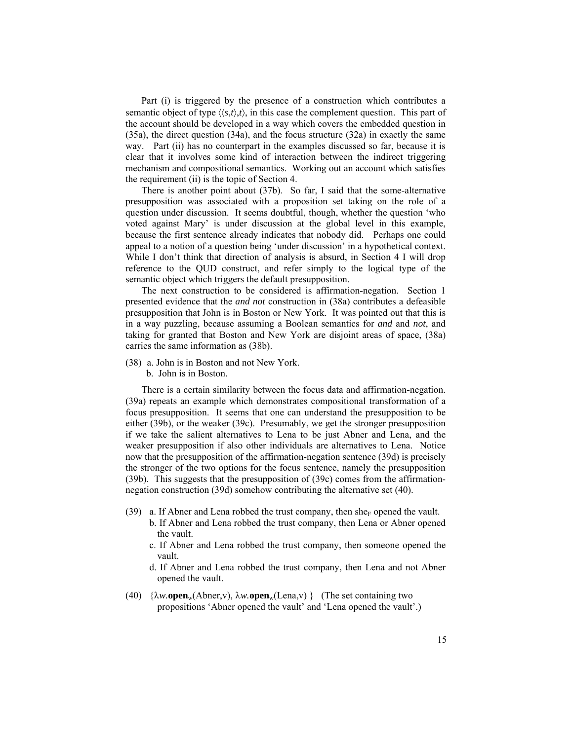Part (i) is triggered by the presence of a construction which contributes a semantic object of type  $\langle \langle s,t \rangle, t \rangle$ , in this case the complement question. This part of the account should be developed in a way which covers the embedded question in (35a), the direct question (34a), and the focus structure (32a) in exactly the same way. Part (ii) has no counterpart in the examples discussed so far, because it is clear that it involves some kind of interaction between the indirect triggering mechanism and compositional semantics. Working out an account which satisfies the requirement (ii) is the topic of Section 4.

There is another point about (37b). So far, I said that the some-alternative presupposition was associated with a proposition set taking on the role of a question under discussion. It seems doubtful, though, whether the question 'who voted against Mary' is under discussion at the global level in this example, because the first sentence already indicates that nobody did. Perhaps one could appeal to a notion of a question being 'under discussion' in a hypothetical context. While I don't think that direction of analysis is absurd, in Section 4 I will drop reference to the QUD construct, and refer simply to the logical type of the semantic object which triggers the default presupposition.

The next construction to be considered is affirmation-negation. Section 1 presented evidence that the *and not* construction in (38a) contributes a defeasible presupposition that John is in Boston or New York. It was pointed out that this is in a way puzzling, because assuming a Boolean semantics for *and* and *not*, and taking for granted that Boston and New York are disjoint areas of space, (38a) carries the same information as (38b).

- (38) a. John is in Boston and not New York.
	- b. John is in Boston.

There is a certain similarity between the focus data and affirmation-negation. (39a) repeats an example which demonstrates compositional transformation of a focus presupposition. It seems that one can understand the presupposition to be either (39b), or the weaker (39c). Presumably, we get the stronger presupposition if we take the salient alternatives to Lena to be just Abner and Lena, and the weaker presupposition if also other individuals are alternatives to Lena. Notice now that the presupposition of the affirmation-negation sentence (39d) is precisely the stronger of the two options for the focus sentence, namely the presupposition (39b). This suggests that the presupposition of (39c) comes from the affirmationnegation construction (39d) somehow contributing the alternative set (40).

- (39) a. If Abner and Lena robbed the trust company, then she<sub>F</sub> opened the vault.
	- b. If Abner and Lena robbed the trust company, then Lena or Abner opened the vault.
	- c. If Abner and Lena robbed the trust company, then someone opened the vault.
	- d. If Abner and Lena robbed the trust company, then Lena and not Abner opened the vault.
- (40) {λ*w.***open**w(Abner,v), λ*w.***open**w(Lena,v) } (The set containing two propositions 'Abner opened the vault' and 'Lena opened the vault'.)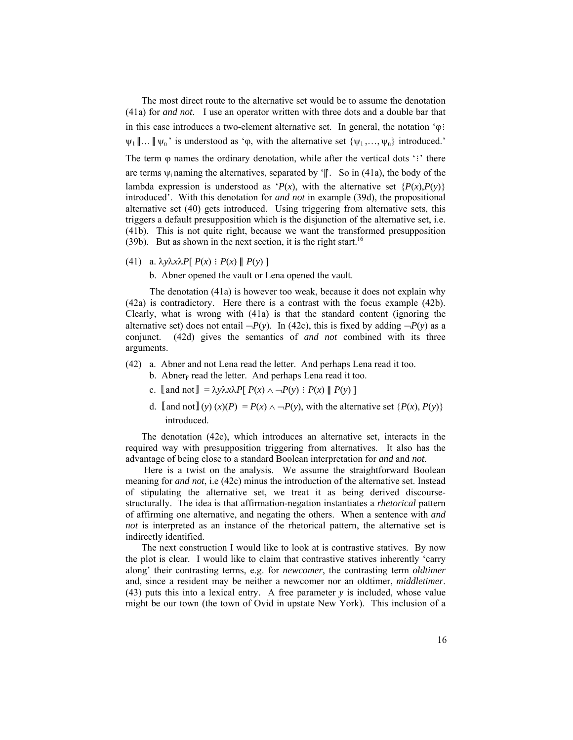The most direct route to the alternative set would be to assume the denotation (41a) for *and not*. I use an operator written with three dots and a double bar that in this case introduces a two-element alternative set. In general, the notation 'ϕ∶  $\psi_1 \| \dots \| \psi_n$  is understood as ' $\varphi$ , with the alternative set  $\{\psi_1, \dots, \psi_n\}$  introduced.' The term φ names the ordinary denotation, while after the vertical dots ':' there are terms  $\psi_i$  naming the alternatives, separated by ' $\parallel$ ". So in (41a), the body of the lambda expression is understood as ' $P(x)$ , with the alternative set  $\{P(x), P(y)\}$ introduced'. With this denotation for *and not* in example (39d), the propositional alternative set (40) gets introduced. Using triggering from alternative sets, this triggers a default presupposition which is the disjunction of the alternative set, i.e. (41b). This is not quite right, because we want the transformed presupposition (39b). But as shown in the next section, it is the right start.<sup>16</sup>

(41) a. λ*y*λ*x*λ*P*[ *P*(*x*) ∶ *P*(*x*) ∥ *P*(*y*) ]

b. Abner opened the vault or Lena opened the vault.

The denotation (41a) is however too weak, because it does not explain why (42a) is contradictory. Here there is a contrast with the focus example (42b). Clearly, what is wrong with (41a) is that the standard content (ignoring the alternative set) does not entail  $\neg P(y)$ . In (42c), this is fixed by adding  $\neg P(y)$  as a conjunct. (42d) gives the semantics of *and not* combined with its three arguments.

- (42) a. Abner and not Lena read the letter. And perhaps Lena read it too.
	- b. Abner $<sub>F</sub>$  read the letter. And perhaps Lena read it too.</sub>
	- c.  $\llbracket$  and not  $\rrbracket = \lambda y \lambda x \lambda P \llbracket P(x) \wedge \neg P(y) : P(x) \parallel P(y) \rrbracket$
	- d. **[and not]**(*y*) (*x*)(*P*) = *P*(*x*) ∧ → *P*(*y*), with the alternative set {*P*(*x*), *P*(*y*)} introduced.

The denotation (42c), which introduces an alternative set, interacts in the required way with presupposition triggering from alternatives. It also has the advantage of being close to a standard Boolean interpretation for *and* and *not*.

 Here is a twist on the analysis. We assume the straightforward Boolean meaning for *and not*, i.e (42c) minus the introduction of the alternative set. Instead of stipulating the alternative set, we treat it as being derived discoursestructurally. The idea is that affirmation-negation instantiates a *rhetorical* pattern of affirming one alternative, and negating the others. When a sentence with *and not* is interpreted as an instance of the rhetorical pattern, the alternative set is indirectly identified.

The next construction I would like to look at is contrastive statives. By now the plot is clear. I would like to claim that contrastive statives inherently 'carry along' their contrasting terms, e.g. for *newcomer*, the contrasting term *oldtimer* and, since a resident may be neither a newcomer nor an oldtimer, *middletimer*. (43) puts this into a lexical entry. A free parameter *y* is included, whose value might be our town (the town of Ovid in upstate New York). This inclusion of a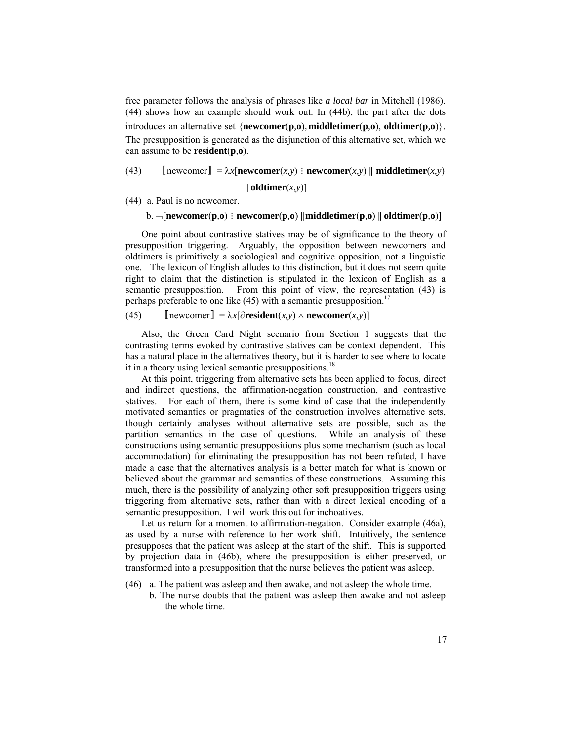free parameter follows the analysis of phrases like *a local bar* in Mitchell (1986). (44) shows how an example should work out. In (44b), the part after the dots introduces an alternative set {**newcomer**(**p***,***o**), **middletimer**(**p***,***o**), **oldtimer**(**p***,***o**)}. The presupposition is generated as the disjunction of this alternative set, which we can assume to be **resident**(**p***,***o**).

(43)  $\left[\text{newcorner}\right] = \lambda x \left[\text{newcorner}(x, y) : \text{newcorner}(x, y) \right] \text{middletimer}(x, y)$ 

∥ **oldtimer**(*x,y*)]

(44) a. Paul is no newcomer.

b. ¬[**newcomer**(**p***,***o**) ∶ **newcomer**(**p***,***o**) ∥**middletimer**(**p***,***o**) ∥ **oldtimer**(**p***,***o**)]

One point about contrastive statives may be of significance to the theory of presupposition triggering. Arguably, the opposition between newcomers and oldtimers is primitively a sociological and cognitive opposition, not a linguistic one. The lexicon of English alludes to this distinction, but it does not seem quite right to claim that the distinction is stipulated in the lexicon of English as a semantic presupposition. From this point of view, the representation (43) is perhaps preferable to one like  $(45)$  with a semantic presupposition.<sup>17</sup>

(45)  $\left[\text{newcomer}\right] = \lambda x[\partial \text{resident}(x, y) \wedge \text{newcomer}(x, y)]$ 

Also, the Green Card Night scenario from Section 1 suggests that the contrasting terms evoked by contrastive statives can be context dependent. This has a natural place in the alternatives theory, but it is harder to see where to locate it in a theory using lexical semantic presuppositions.<sup>18</sup>

At this point, triggering from alternative sets has been applied to focus, direct and indirect questions, the affirmation-negation construction, and contrastive statives. For each of them, there is some kind of case that the independently motivated semantics or pragmatics of the construction involves alternative sets, though certainly analyses without alternative sets are possible, such as the partition semantics in the case of questions. While an analysis of these constructions using semantic presuppositions plus some mechanism (such as local accommodation) for eliminating the presupposition has not been refuted, I have made a case that the alternatives analysis is a better match for what is known or believed about the grammar and semantics of these constructions. Assuming this much, there is the possibility of analyzing other soft presupposition triggers using triggering from alternative sets, rather than with a direct lexical encoding of a semantic presupposition. I will work this out for inchoatives.

Let us return for a moment to affirmation-negation. Consider example (46a), as used by a nurse with reference to her work shift. Intuitively, the sentence presupposes that the patient was asleep at the start of the shift. This is supported by projection data in (46b), where the presupposition is either preserved, or transformed into a presupposition that the nurse believes the patient was asleep.

- (46) a. The patient was asleep and then awake, and not asleep the whole time.
	- b. The nurse doubts that the patient was asleep then awake and not asleep the whole time.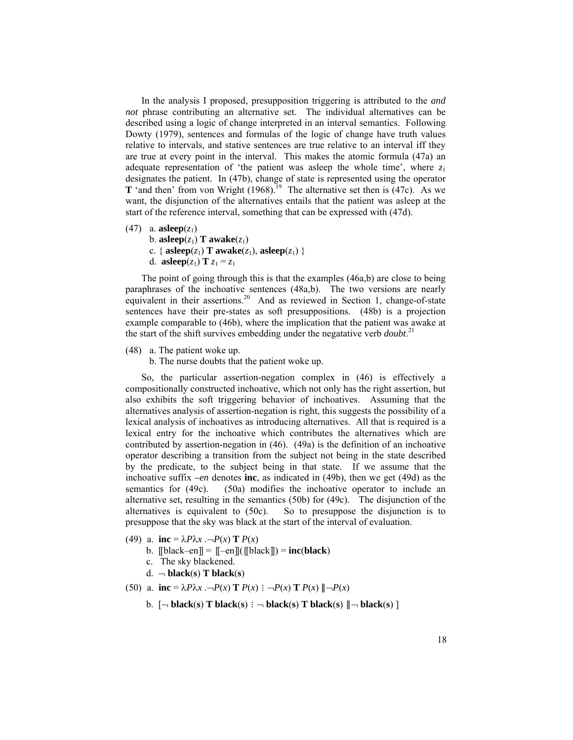In the analysis I proposed, presupposition triggering is attributed to the *and not* phrase contributing an alternative set. The individual alternatives can be described using a logic of change interpreted in an interval semantics. Following Dowty (1979), sentences and formulas of the logic of change have truth values relative to intervals, and stative sentences are true relative to an interval iff they are true at every point in the interval. This makes the atomic formula (47a) an adequate representation of 'the patient was asleep the whole time', where  $z_1$ designates the patient. In (47b), change of state is represented using the operator **T** 'and then' from von Wright  $(1968)$ .<sup>19</sup> The alternative set then is  $(47c)$ . As we want, the disjunction of the alternatives entails that the patient was asleep at the start of the reference interval, something that can be expressed with (47d).

- $(47)$  a. **asleep** $(z_1)$ b. **asleep**( $z_1$ ) **T awake**( $z_1$ )
	- c. {  $\text{asleep}(z_1)$  **T**  $\text{awake}(z_1)$ ,  $\text{asleep}(z_1)$  }
	- d. **asleep** $(z_1)$  **T**  $z_1 = z_1$

The point of going through this is that the examples (46a,b) are close to being paraphrases of the inchoative sentences (48a,b). The two versions are nearly equivalent in their assertions.<sup>20</sup> And as reviewed in Section 1, change-of-state sentences have their pre-states as soft presuppositions. (48b) is a projection example comparable to (46b), where the implication that the patient was awake at the start of the shift survives embedding under the negatative verb *doubt*. 21

(48) a. The patient woke up.

b. The nurse doubts that the patient woke up.

So, the particular assertion-negation complex in (46) is effectively a compositionally constructed inchoative, which not only has the right assertion, but also exhibits the soft triggering behavior of inchoatives. Assuming that the alternatives analysis of assertion-negation is right, this suggests the possibility of a lexical analysis of inchoatives as introducing alternatives. All that is required is a lexical entry for the inchoative which contributes the alternatives which are contributed by assertion-negation in (46). (49a) is the definition of an inchoative operator describing a transition from the subject not being in the state described by the predicate, to the subject being in that state. If we assume that the inchoative suffix *–en* denotes **inc**, as indicated in (49b), then we get (49d) as the semantics for (49c). (50a) modifies the inchoative operator to include an alternative set, resulting in the semantics (50b) for (49c). The disjunction of the alternatives is equivalent to (50c). So to presuppose the disjunction is to presuppose that the sky was black at the start of the interval of evaluation.

- (49) a. **inc** =  $\lambda P \lambda x$  .  $\neg P(x)$  **T**  $P(x)$ 
	- b.  $\text{[black-en]} = \text{[-en]}(\text{[black]}) = \text{inc}(\text{black})$
	- c. The sky blackened.
	- $d. \neg$  **black**(**s**) **T black**(**s**)
- (50) a. **inc** =  $\lambda P \lambda x$  .  $\neg P(x)$  **T**  $P(x)$  :  $\neg P(x)$  **T**  $P(x)$   $\|\neg P(x)$ 
	- b. [¬ **black**(**s**) **T black**(**s**) ∶ ¬ **black**(**s**) **T black**(**s**) ∥¬ **black**(**s**) ]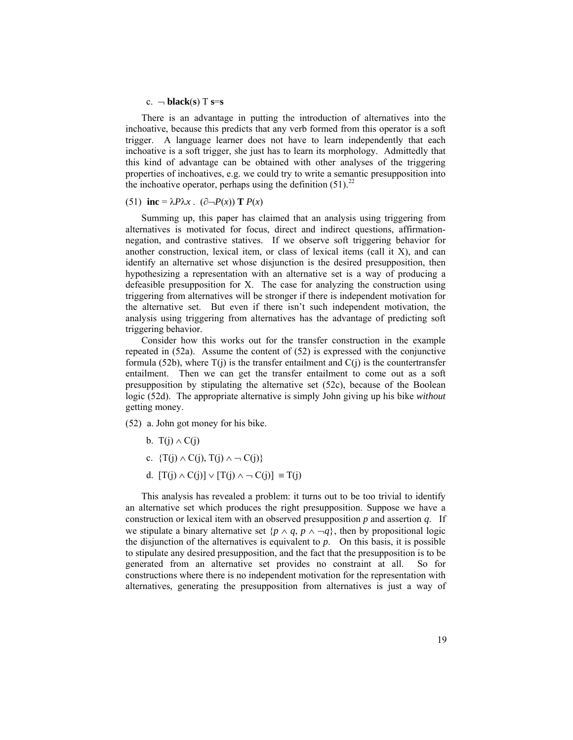#### $c.$   $\neg$  **black**(s) T **s**=s

There is an advantage in putting the introduction of alternatives into the inchoative, because this predicts that any verb formed from this operator is a soft trigger. A language learner does not have to learn independently that each inchoative is a soft trigger, she just has to learn its morphology. Admittedly that this kind of advantage can be obtained with other analyses of the triggering properties of inchoatives, e.g. we could try to write a semantic presupposition into the inchoative operator, perhaps using the definition  $(51)^{22}$ 

## (51) inc =  $\lambda P \lambda x$ . ( $\partial \neg P(x)$ ) **T**  $P(x)$

Summing up, this paper has claimed that an analysis using triggering from alternatives is motivated for focus, direct and indirect questions, affirmationnegation, and contrastive statives. If we observe soft triggering behavior for another construction, lexical item, or class of lexical items (call it  $X$ ), and can identify an alternative set whose disjunction is the desired presupposition, then hypothesizing a representation with an alternative set is a way of producing a defeasible presupposition for X. The case for analyzing the construction using triggering from alternatives will be stronger if there is independent motivation for the alternative set. But even if there isn't such independent motivation, the analysis using triggering from alternatives has the advantage of predicting soft triggering behavior.

Consider how this works out for the transfer construction in the example repeated in (52a). Assume the content of (52) is expressed with the conjunctive formula (52b), where  $T(i)$  is the transfer entailment and  $C(i)$  is the countertransfer entailment. Then we can get the transfer entailment to come out as a soft presupposition by stipulating the alternative set (52c), because of the Boolean logic (52d). The appropriate alternative is simply John giving up his bike *without* getting money.

(52) a. John got money for his bike.

- b. T(j)  $\wedge$  C(j)
- c.  $\{T(j) \wedge C(j), T(j) \wedge \neg C(j)\}\$
- d.  $[T(j) \wedge C(j)] \vee [T(j) \wedge \neg C(j)] \equiv T(j)$

This analysis has revealed a problem: it turns out to be too trivial to identify an alternative set which produces the right presupposition. Suppose we have a construction or lexical item with an observed presupposition *p* and assertion *q*. If we stipulate a binary alternative set  $\{p \land q, p \land \neg q\}$ , then by propositional logic the disjunction of the alternatives is equivalent to  $p$ . On this basis, it is possible to stipulate any desired presupposition, and the fact that the presupposition is to be generated from an alternative set provides no constraint at all. So for constructions where there is no independent motivation for the representation with alternatives, generating the presupposition from alternatives is just a way of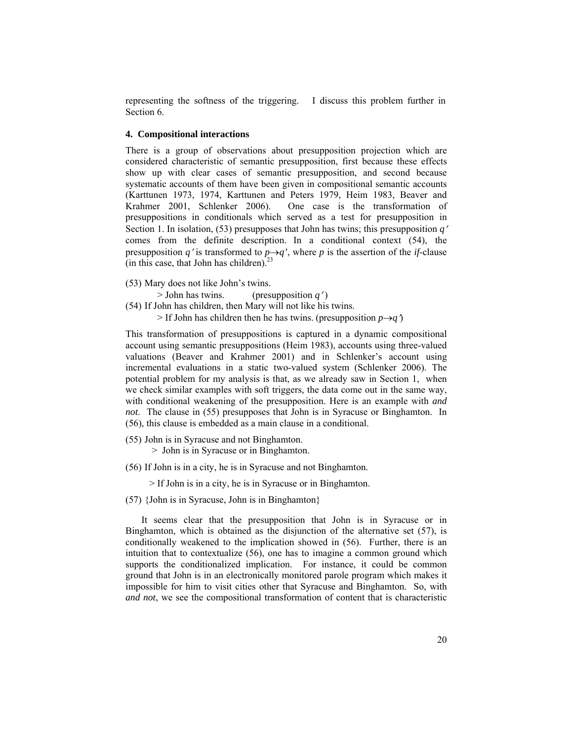representing the softness of the triggering. I discuss this problem further in Section 6.

## **4. Compositional interactions**

There is a group of observations about presupposition projection which are considered characteristic of semantic presupposition, first because these effects show up with clear cases of semantic presupposition, and second because systematic accounts of them have been given in compositional semantic accounts (Karttunen 1973, 1974, Karttunen and Peters 1979, Heim 1983, Beaver and Krahmer 2001, Schlenker 2006). One case is the transformation of presuppositions in conditionals which served as a test for presupposition in Section 1. In isolation, (53) presupposes that John has twins; this presupposition *q*′ comes from the definite description. In a conditional context (54), the presupposition *q*<sup>'</sup> is transformed to  $p \rightarrow q$ <sup>'</sup>, where *p* is the assertion of the *if*-clause (in this case, that John has children). $^{23}$ 

(53) Mary does not like John's twins.

> John has twins. (presupposition *q*′ )

- (54) If John has children, then Mary will not like his twins.
	- $>$  If John has children then he has twins. (presupposition  $p \rightarrow q$ )

This transformation of presuppositions is captured in a dynamic compositional account using semantic presuppositions (Heim 1983), accounts using three-valued valuations (Beaver and Krahmer 2001) and in Schlenker's account using incremental evaluations in a static two-valued system (Schlenker 2006). The potential problem for my analysis is that, as we already saw in Section 1, when we check similar examples with soft triggers, the data come out in the same way, with conditional weakening of the presupposition. Here is an example with *and not*. The clause in (55) presupposes that John is in Syracuse or Binghamton. In (56), this clause is embedded as a main clause in a conditional.

(55) John is in Syracuse and not Binghamton.

> John is in Syracuse or in Binghamton.

(56) If John is in a city, he is in Syracuse and not Binghamton.

> If John is in a city, he is in Syracuse or in Binghamton.

(57) {John is in Syracuse, John is in Binghamton}

It seems clear that the presupposition that John is in Syracuse or in Binghamton, which is obtained as the disjunction of the alternative set (57), is conditionally weakened to the implication showed in (56). Further, there is an intuition that to contextualize (56), one has to imagine a common ground which supports the conditionalized implication. For instance, it could be common ground that John is in an electronically monitored parole program which makes it impossible for him to visit cities other that Syracuse and Binghamton. So, with *and not*, we see the compositional transformation of content that is characteristic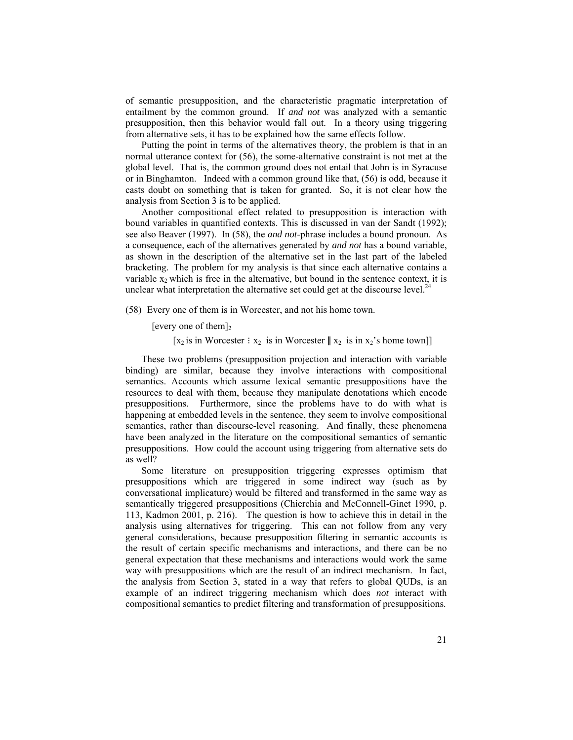of semantic presupposition, and the characteristic pragmatic interpretation of entailment by the common ground. If *and not* was analyzed with a semantic presupposition, then this behavior would fall out. In a theory using triggering from alternative sets, it has to be explained how the same effects follow.

Putting the point in terms of the alternatives theory, the problem is that in an normal utterance context for (56), the some-alternative constraint is not met at the global level. That is, the common ground does not entail that John is in Syracuse or in Binghamton. Indeed with a common ground like that, (56) is odd, because it casts doubt on something that is taken for granted. So, it is not clear how the analysis from Section 3 is to be applied.

Another compositional effect related to presupposition is interaction with bound variables in quantified contexts. This is discussed in van der Sandt (1992); see also Beaver (1997). In (58), the *and not*-phrase includes a bound pronoun. As a consequence, each of the alternatives generated by *and not* has a bound variable, as shown in the description of the alternative set in the last part of the labeled bracketing. The problem for my analysis is that since each alternative contains a variable  $x_2$  which is free in the alternative, but bound in the sentence context, it is unclear what interpretation the alternative set could get at the discourse level.<sup>24</sup>

(58) Every one of them is in Worcester, and not his home town.

[every one of them] $<sub>2</sub>$ </sub>

[x<sub>2</sub> is in Worcester : x<sub>2</sub> is in Worcester  $||$  x<sub>2</sub> is in x<sub>2</sub>'s home town]]

These two problems (presupposition projection and interaction with variable binding) are similar, because they involve interactions with compositional semantics. Accounts which assume lexical semantic presuppositions have the resources to deal with them, because they manipulate denotations which encode presuppositions. Furthermore, since the problems have to do with what is happening at embedded levels in the sentence, they seem to involve compositional semantics, rather than discourse-level reasoning. And finally, these phenomena have been analyzed in the literature on the compositional semantics of semantic presuppositions. How could the account using triggering from alternative sets do as well?

Some literature on presupposition triggering expresses optimism that presuppositions which are triggered in some indirect way (such as by conversational implicature) would be filtered and transformed in the same way as semantically triggered presuppositions (Chierchia and McConnell-Ginet 1990, p. 113, Kadmon 2001, p. 216). The question is how to achieve this in detail in the analysis using alternatives for triggering. This can not follow from any very general considerations, because presupposition filtering in semantic accounts is the result of certain specific mechanisms and interactions, and there can be no general expectation that these mechanisms and interactions would work the same way with presuppositions which are the result of an indirect mechanism. In fact, the analysis from Section 3, stated in a way that refers to global QUDs, is an example of an indirect triggering mechanism which does *not* interact with compositional semantics to predict filtering and transformation of presuppositions.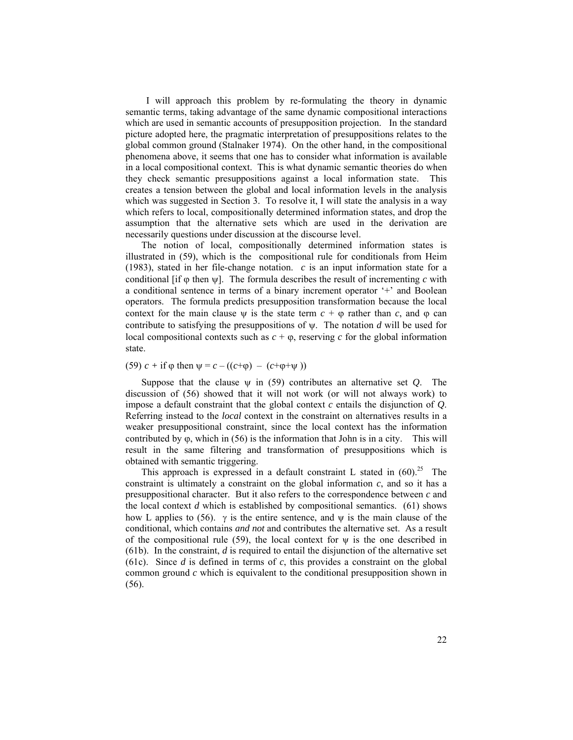I will approach this problem by re-formulating the theory in dynamic semantic terms, taking advantage of the same dynamic compositional interactions which are used in semantic accounts of presupposition projection. In the standard picture adopted here, the pragmatic interpretation of presuppositions relates to the global common ground (Stalnaker 1974). On the other hand, in the compositional phenomena above, it seems that one has to consider what information is available in a local compositional context. This is what dynamic semantic theories do when they check semantic presuppositions against a local information state. This creates a tension between the global and local information levels in the analysis which was suggested in Section 3. To resolve it, I will state the analysis in a way which refers to local, compositionally determined information states, and drop the assumption that the alternative sets which are used in the derivation are necessarily questions under discussion at the discourse level.

The notion of local, compositionally determined information states is illustrated in (59), which is the compositional rule for conditionals from Heim (1983), stated in her file-change notation. *c* is an input information state for a conditional [if  $\varphi$  then  $\psi$ ]. The formula describes the result of incrementing *c* with a conditional sentence in terms of a binary increment operator '+' and Boolean operators. The formula predicts presupposition transformation because the local context for the main clause  $\psi$  is the state term  $c + \varphi$  rather than c, and  $\varphi$  can contribute to satisfying the presuppositions of ψ. The notation *d* will be used for local compositional contexts such as  $c + \varphi$ , reserving *c* for the global information state.

(59)  $c + i f \varphi$  then  $\psi = c - ((c + \varphi) - (c + \varphi + \psi))$ 

Suppose that the clause  $\psi$  in (59) contributes an alternative set  $Q$ . The discussion of (56) showed that it will not work (or will not always work) to impose a default constraint that the global context *c* entails the disjunction of *Q*. Referring instead to the *local* context in the constraint on alternatives results in a weaker presuppositional constraint, since the local context has the information contributed by  $\varphi$ , which in (56) is the information that John is in a city. This will result in the same filtering and transformation of presuppositions which is obtained with semantic triggering.

This approach is expressed in a default constraint L stated in  $(60)^{25}$  The constraint is ultimately a constraint on the global information *c*, and so it has a presuppositional character. But it also refers to the correspondence between *c* and the local context *d* which is established by compositional semantics. (61) shows how L applies to (56).  $\gamma$  is the entire sentence, and  $\psi$  is the main clause of the conditional, which contains *and not* and contributes the alternative set. As a result of the compositional rule (59), the local context for  $\psi$  is the one described in (61b). In the constraint, *d* is required to entail the disjunction of the alternative set (61c). Since *d* is defined in terms of *c*, this provides a constraint on the global common ground *c* which is equivalent to the conditional presupposition shown in (56).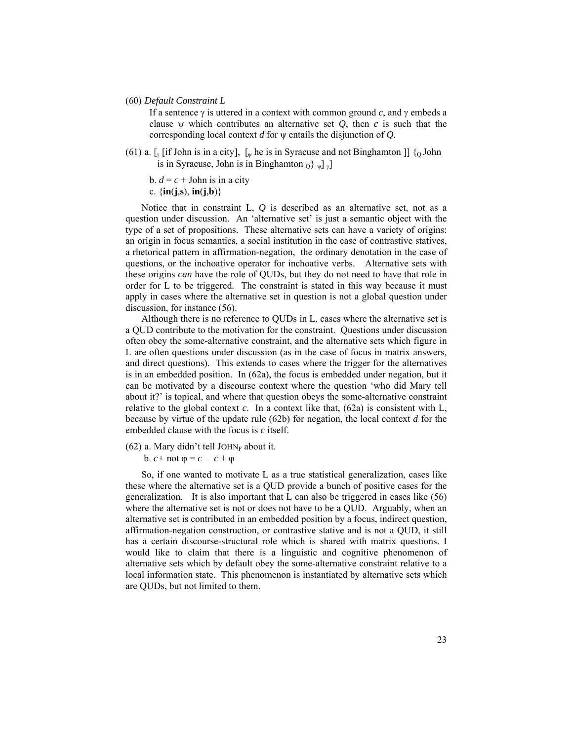(60) *Default Constraint L*

If a sentence γ is uttered in a context with common ground *c*, and γ embeds a clause  $\psi$  which contributes an alternative set  $Q$ , then  $c$  is such that the corresponding local context *d* for ψ entails the disjunction of *Q*.

(61) a.  $\lceil \sqrt{\frac{1}{2}} \rceil$  [if John is in a city],  $\lceil \sqrt{\frac{1}{2}} \rceil$  he is in Syracuse and not Binghamton  $\lceil \frac{1}{2} \rceil$  [o John is in Syracuse, John is in Binghamton  $_0$   $\{ \psi | \psi \}$ 

b.  $d = c +$  John is in a city c.  $\{inj, s\}$ ,  $in(j, b)\}$ 

Notice that in constraint L, *Q* is described as an alternative set, not as a question under discussion. An 'alternative set' is just a semantic object with the type of a set of propositions. These alternative sets can have a variety of origins: an origin in focus semantics, a social institution in the case of contrastive statives, a rhetorical pattern in affirmation-negation, the ordinary denotation in the case of questions, or the inchoative operator for inchoative verbs. Alternative sets with these origins *can* have the role of QUDs, but they do not need to have that role in order for L to be triggered. The constraint is stated in this way because it must apply in cases where the alternative set in question is not a global question under discussion, for instance (56).

Although there is no reference to QUDs in L, cases where the alternative set is a QUD contribute to the motivation for the constraint. Questions under discussion often obey the some-alternative constraint, and the alternative sets which figure in L are often questions under discussion (as in the case of focus in matrix answers, and direct questions). This extends to cases where the trigger for the alternatives is in an embedded position. In (62a), the focus is embedded under negation, but it can be motivated by a discourse context where the question 'who did Mary tell about it?' is topical, and where that question obeys the some-alternative constraint relative to the global context  $c$ . In a context like that,  $(62a)$  is consistent with L, because by virtue of the update rule (62b) for negation, the local context *d* for the embedded clause with the focus is *c* itself.

(62) a. Mary didn't tell JOHN<sub>F</sub> about it.

**b**. *c* + not  $φ = c - c + φ$ 

So, if one wanted to motivate L as a true statistical generalization, cases like these where the alternative set is a QUD provide a bunch of positive cases for the generalization. It is also important that L can also be triggered in cases like (56) where the alternative set is not or does not have to be a QUD. Arguably, when an alternative set is contributed in an embedded position by a focus, indirect question, affirmation-negation construction, or contrastive stative and is not a QUD, it still has a certain discourse-structural role which is shared with matrix questions. I would like to claim that there is a linguistic and cognitive phenomenon of alternative sets which by default obey the some-alternative constraint relative to a local information state. This phenomenon is instantiated by alternative sets which are QUDs, but not limited to them.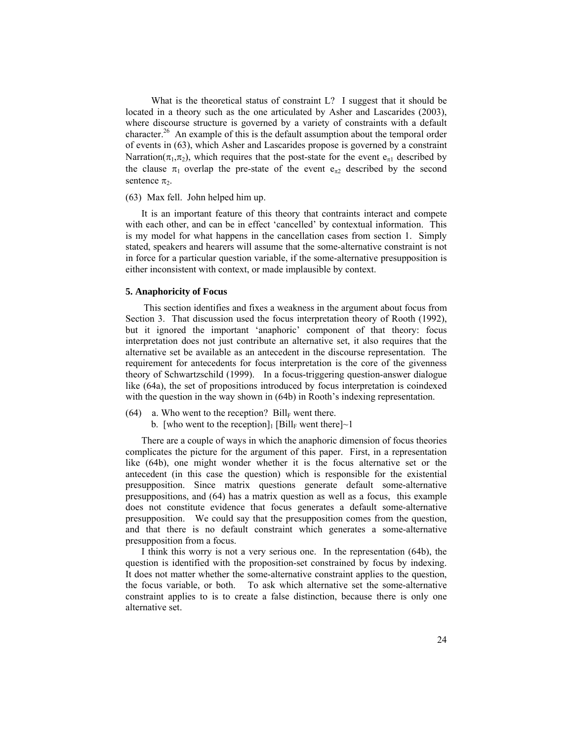What is the theoretical status of constraint L? I suggest that it should be located in a theory such as the one articulated by Asher and Lascarides (2003), where discourse structure is governed by a variety of constraints with a default character.<sup>26</sup> An example of this is the default assumption about the temporal order of events in (63), which Asher and Lascarides propose is governed by a constraint Narration( $\pi_1, \pi_2$ ), which requires that the post-state for the event  $e_{\pi 1}$  described by the clause  $\pi_1$  overlap the pre-state of the event  $e_{\pi_2}$  described by the second sentence  $\pi$ .

### (63) Max fell. John helped him up.

It is an important feature of this theory that contraints interact and compete with each other, and can be in effect 'cancelled' by contextual information. This is my model for what happens in the cancellation cases from section 1. Simply stated, speakers and hearers will assume that the some-alternative constraint is not in force for a particular question variable, if the some-alternative presupposition is either inconsistent with context, or made implausible by context.

#### **5. Anaphoricity of Focus**

 This section identifies and fixes a weakness in the argument about focus from Section 3. That discussion used the focus interpretation theory of Rooth (1992), but it ignored the important 'anaphoric' component of that theory: focus interpretation does not just contribute an alternative set, it also requires that the alternative set be available as an antecedent in the discourse representation. The requirement for antecedents for focus interpretation is the core of the givenness theory of Schwartzschild (1999). In a focus-triggering question-answer dialogue like (64a), the set of propositions introduced by focus interpretation is coindexed with the question in the way shown in (64b) in Rooth's indexing representation.

- (64) a. Who went to the reception? Bill<sub>F</sub> went there.
	- b. [who went to the reception] [Bill<sub>F</sub> went there] $\sim$ 1

There are a couple of ways in which the anaphoric dimension of focus theories complicates the picture for the argument of this paper. First, in a representation like (64b), one might wonder whether it is the focus alternative set or the antecedent (in this case the question) which is responsible for the existential presupposition. Since matrix questions generate default some-alternative presuppositions, and (64) has a matrix question as well as a focus, this example does not constitute evidence that focus generates a default some-alternative presupposition. We could say that the presupposition comes from the question, and that there is no default constraint which generates a some-alternative presupposition from a focus.

I think this worry is not a very serious one. In the representation (64b), the question is identified with the proposition-set constrained by focus by indexing. It does not matter whether the some-alternative constraint applies to the question, the focus variable, or both. To ask which alternative set the some-alternative constraint applies to is to create a false distinction, because there is only one alternative set.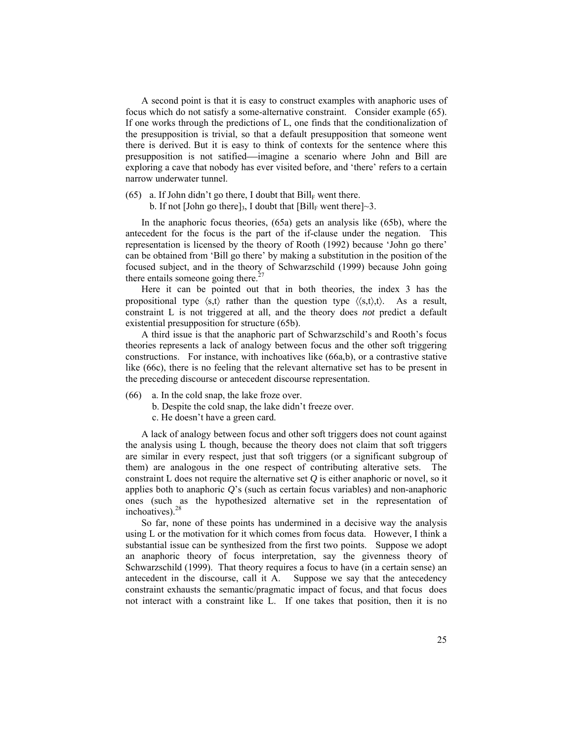A second point is that it is easy to construct examples with anaphoric uses of focus which do not satisfy a some-alternative constraint. Consider example (65). If one works through the predictions of L, one finds that the conditionalization of the presupposition is trivial, so that a default presupposition that someone went there is derived. But it is easy to think of contexts for the sentence where this presupposition is not satified—imagine a scenario where John and Bill are exploring a cave that nobody has ever visited before, and 'there' refers to a certain narrow underwater tunnel.

(65) a. If John didn't go there, I doubt that  $Bill_F$  went there.

b. If not [John go there]<sub>3</sub>, I doubt that  $[Bill_F$  went there]~3.

In the anaphoric focus theories, (65a) gets an analysis like (65b), where the antecedent for the focus is the part of the if-clause under the negation. This representation is licensed by the theory of Rooth (1992) because 'John go there' can be obtained from 'Bill go there' by making a substitution in the position of the focused subject, and in the theory of Schwarzschild (1999) because John going there entails someone going there.<sup>27</sup>

Here it can be pointed out that in both theories, the index 3 has the propositional type  $\langle s,t \rangle$  rather than the question type  $\langle \langle s,t \rangle, t \rangle$ . As a result, constraint L is not triggered at all, and the theory does *not* predict a default existential presupposition for structure (65b).

A third issue is that the anaphoric part of Schwarzschild's and Rooth's focus theories represents a lack of analogy between focus and the other soft triggering constructions. For instance, with inchoatives like (66a,b), or a contrastive stative like (66c), there is no feeling that the relevant alternative set has to be present in the preceding discourse or antecedent discourse representation.

- (66) a. In the cold snap, the lake froze over.
	- b. Despite the cold snap, the lake didn't freeze over.
	- c. He doesn't have a green card.

A lack of analogy between focus and other soft triggers does not count against the analysis using L though, because the theory does not claim that soft triggers are similar in every respect, just that soft triggers (or a significant subgroup of them) are analogous in the one respect of contributing alterative sets. The constraint L does not require the alternative set *Q* is either anaphoric or novel, so it applies both to anaphoric *Q*'s (such as certain focus variables) and non-anaphoric ones (such as the hypothesized alternative set in the representation of inchoatives). $2^{\circ}$ 

So far, none of these points has undermined in a decisive way the analysis using L or the motivation for it which comes from focus data. However, I think a substantial issue can be synthesized from the first two points. Suppose we adopt an anaphoric theory of focus interpretation, say the givenness theory of Schwarzschild (1999). That theory requires a focus to have (in a certain sense) an antecedent in the discourse, call it A. Suppose we say that the antecedency constraint exhausts the semantic/pragmatic impact of focus, and that focus does not interact with a constraint like L. If one takes that position, then it is no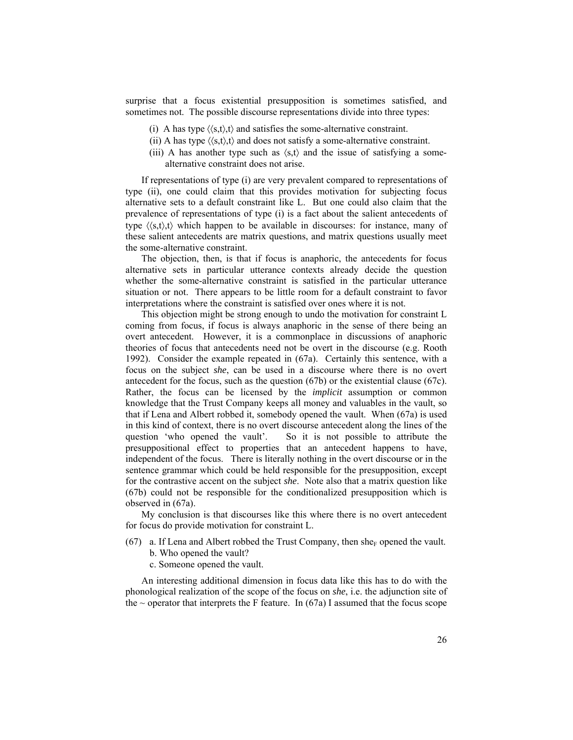surprise that a focus existential presupposition is sometimes satisfied, and sometimes not. The possible discourse representations divide into three types:

- (i) A has type  $\langle \langle s,t \rangle, t \rangle$  and satisfies the some-alternative constraint.
- (ii) A has type  $\langle \langle s,t \rangle \rangle$  and does not satisfy a some-alternative constraint.
- (iii) A has another type such as  $\langle s,t \rangle$  and the issue of satisfying a somealternative constraint does not arise.

If representations of type (i) are very prevalent compared to representations of type (ii), one could claim that this provides motivation for subjecting focus alternative sets to a default constraint like L. But one could also claim that the prevalence of representations of type (i) is a fact about the salient antecedents of type  $\langle\langle s,t\rangle,t\rangle$  which happen to be available in discourses: for instance, many of these salient antecedents are matrix questions, and matrix questions usually meet the some-alternative constraint.

The objection, then, is that if focus is anaphoric, the antecedents for focus alternative sets in particular utterance contexts already decide the question whether the some-alternative constraint is satisfied in the particular utterance situation or not. There appears to be little room for a default constraint to favor interpretations where the constraint is satisfied over ones where it is not.

This objection might be strong enough to undo the motivation for constraint L coming from focus, if focus is always anaphoric in the sense of there being an overt antecedent. However, it is a commonplace in discussions of anaphoric theories of focus that antecedents need not be overt in the discourse (e.g. Rooth 1992). Consider the example repeated in (67a). Certainly this sentence, with a focus on the subject *she*, can be used in a discourse where there is no overt antecedent for the focus, such as the question (67b) or the existential clause (67c). Rather, the focus can be licensed by the *implicit* assumption or common knowledge that the Trust Company keeps all money and valuables in the vault, so that if Lena and Albert robbed it, somebody opened the vault. When (67a) is used in this kind of context, there is no overt discourse antecedent along the lines of the question 'who opened the vault'. So it is not possible to attribute the presuppositional effect to properties that an antecedent happens to have, independent of the focus. There is literally nothing in the overt discourse or in the sentence grammar which could be held responsible for the presupposition, except for the contrastive accent on the subject *she*. Note also that a matrix question like (67b) could not be responsible for the conditionalized presupposition which is observed in (67a).

My conclusion is that discourses like this where there is no overt antecedent for focus do provide motivation for constraint L.

- (67) a. If Lena and Albert robbed the Trust Company, then she<sub>F</sub> opened the vault. b. Who opened the vault?
	- c. Someone opened the vault.

An interesting additional dimension in focus data like this has to do with the phonological realization of the scope of the focus on *she*, i.e. the adjunction site of the  $\sim$  operator that interprets the F feature. In (67a) I assumed that the focus scope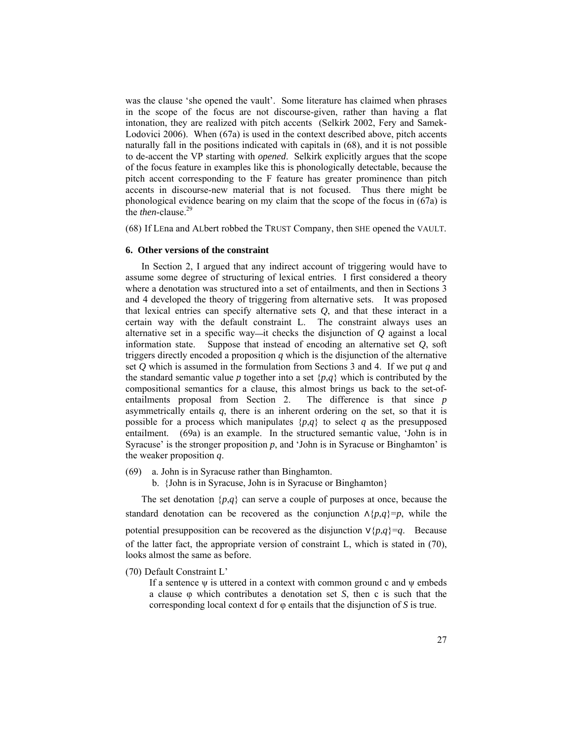was the clause 'she opened the vault'. Some literature has claimed when phrases in the scope of the focus are not discourse-given, rather than having a flat intonation, they are realized with pitch accents (Selkirk 2002, Fery and Samek-Lodovici 2006). When (67a) is used in the context described above, pitch accents naturally fall in the positions indicated with capitals in (68), and it is not possible to de-accent the VP starting with *opened*. Selkirk explicitly argues that the scope of the focus feature in examples like this is phonologically detectable, because the pitch accent corresponding to the F feature has greater prominence than pitch accents in discourse-new material that is not focused. Thus there might be phonological evidence bearing on my claim that the scope of the focus in (67a) is the *then*-clause.<sup>29</sup>

(68) If LEna and ALbert robbed the TRUST Company, then SHE opened the VAULT.

#### **6. Other versions of the constraint**

In Section 2, I argued that any indirect account of triggering would have to assume some degree of structuring of lexical entries. I first considered a theory where a denotation was structured into a set of entailments, and then in Sections 3 and 4 developed the theory of triggering from alternative sets. It was proposed that lexical entries can specify alternative sets *Q*, and that these interact in a certain way with the default constraint L. The constraint always uses an alternative set in a specific way—it checks the disjunction of  $Q$  against a local information state. Suppose that instead of encoding an alternative set *Q*, soft triggers directly encoded a proposition *q* which is the disjunction of the alternative set *Q* which is assumed in the formulation from Sections 3 and 4. If we put *q* and the standard semantic value *p* together into a set  $\{p,q\}$  which is contributed by the compositional semantics for a clause, this almost brings us back to the set-ofentailments proposal from Section 2. The difference is that since *p* asymmetrically entails *q*, there is an inherent ordering on the set, so that it is possible for a process which manipulates  $\{p,q\}$  to select *q* as the presupposed entailment. (69a) is an example. In the structured semantic value, 'John is in Syracuse' is the stronger proposition p, and 'John is in Syracuse or Binghamton' is the weaker proposition *q*.

- (69) a. John is in Syracuse rather than Binghamton.
	- b. {John is in Syracuse, John is in Syracuse or Binghamton}

The set denotation  $\{p,q\}$  can serve a couple of purposes at once, because the standard denotation can be recovered as the conjunction  $\Lambda\{p,q\}=p$ , while the potential presupposition can be recovered as the disjunction ∨{*p*,*q*}=*q*. Because of the latter fact, the appropriate version of constraint L, which is stated in (70), looks almost the same as before.

(70) Default Constraint L'

If a sentence  $\psi$  is uttered in a context with common ground c and  $\psi$  embeds a clause φ which contributes a denotation set *S*, then c is such that the corresponding local context d for φ entails that the disjunction of *S* is true.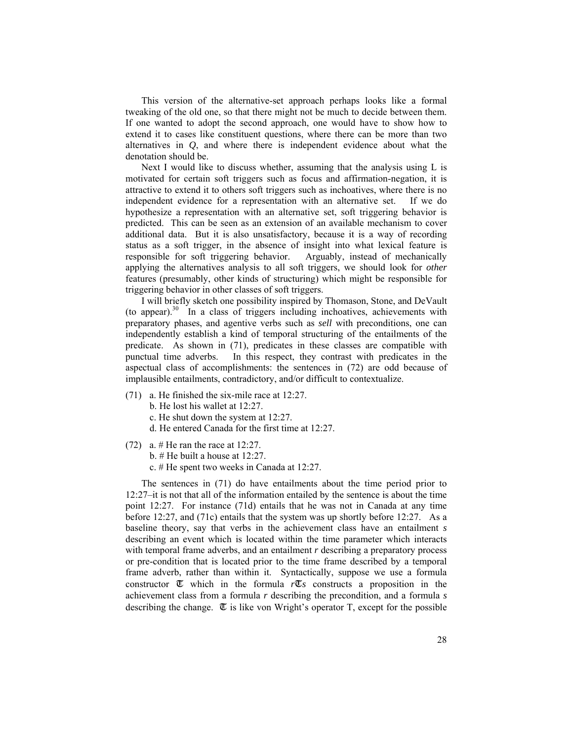This version of the alternative-set approach perhaps looks like a formal tweaking of the old one, so that there might not be much to decide between them. If one wanted to adopt the second approach, one would have to show how to extend it to cases like constituent questions, where there can be more than two alternatives in *Q*, and where there is independent evidence about what the denotation should be.

Next I would like to discuss whether, assuming that the analysis using L is motivated for certain soft triggers such as focus and affirmation-negation, it is attractive to extend it to others soft triggers such as inchoatives, where there is no independent evidence for a representation with an alternative set. If we do hypothesize a representation with an alternative set, soft triggering behavior is predicted. This can be seen as an extension of an available mechanism to cover additional data. But it is also unsatisfactory, because it is a way of recording status as a soft trigger, in the absence of insight into what lexical feature is responsible for soft triggering behavior. Arguably, instead of mechanically applying the alternatives analysis to all soft triggers, we should look for *other* features (presumably, other kinds of structuring) which might be responsible for triggering behavior in other classes of soft triggers.

I will briefly sketch one possibility inspired by Thomason, Stone, and DeVault (to appear).30 In a class of triggers including inchoatives, achievements with preparatory phases, and agentive verbs such as *sell* with preconditions, one can independently establish a kind of temporal structuring of the entailments of the predicate. As shown in (71), predicates in these classes are compatible with punctual time adverbs. In this respect, they contrast with predicates in the aspectual class of accomplishments: the sentences in (72) are odd because of implausible entailments, contradictory, and/or difficult to contextualize.

- (71) a. He finished the six-mile race at 12:27.
	- b. He lost his wallet at 12:27.
	- c. He shut down the system at 12:27.
	- d. He entered Canada for the first time at 12:27.
- (72) a.  $\#$  He ran the race at 12:27.
	- b. # He built a house at 12:27.
		- c. # He spent two weeks in Canada at 12:27.

The sentences in (71) do have entailments about the time period prior to 12:27–it is not that all of the information entailed by the sentence is about the time point 12:27. For instance (71d) entails that he was not in Canada at any time before 12:27, and (71c) entails that the system was up shortly before 12:27. As a baseline theory, say that verbs in the achievement class have an entailment *s* describing an event which is located within the time parameter which interacts with temporal frame adverbs, and an entailment *r* describing a preparatory process or pre-condition that is located prior to the time frame described by a temporal frame adverb, rather than within it. Syntactically, suppose we use a formula constructor  $\mathbb{I}$  which in the formula  $r\mathbb{I}$ *s* constructs a proposition in the achievement class from a formula *r* describing the precondition, and a formula *s* describing the change.  $\mathbb{I}$  is like von Wright's operator T, except for the possible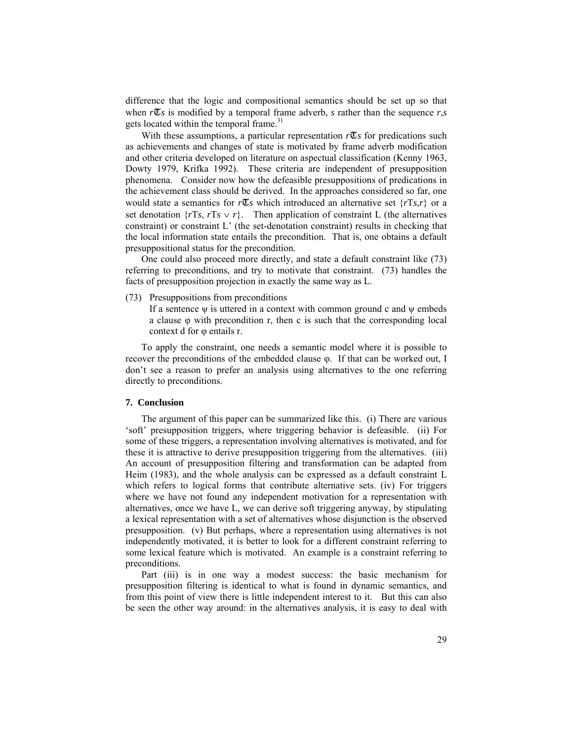difference that the logic and compositional semantics should be set up so that when  $r\mathbb{Z}_s$  is modified by a temporal frame adverb, *s* rather than the sequence  $r,s$ gets located within the temporal frame.<sup>31</sup>

With these assumptions, a particular representation  $r\mathbb{Z}_s$  for predications such as achievements and changes of state is motivated by frame adverb modification and other criteria developed on literature on aspectual classification (Kenny 1963, Dowty 1979, Krifka 1992). These criteria are independent of presupposition phenomena. Consider now how the defeasible presuppositions of predications in the achievement class should be derived. In the approaches considered so far, one would state a semantics for  $r\mathbb{Z}_s$  which introduced an alternative set  $\{rTs, r\}$  or a set denotation  $\{rTs, rTs \vee r\}$ . Then application of constraint L (the alternatives constraint) or constraint L' (the set-denotation constraint) results in checking that the local information state entails the precondition. That is, one obtains a default presuppositional status for the precondition.

One could also proceed more directly, and state a default constraint like (73) referring to preconditions, and try to motivate that constraint. (73) handles the facts of presupposition projection in exactly the same way as L.

(73) Presuppositions from preconditions

If a sentence  $\psi$  is uttered in a context with common ground c and  $\psi$  embeds a clause φ with precondition r, then c is such that the corresponding local context d for φ entails r.

To apply the constraint, one needs a semantic model where it is possible to recover the preconditions of the embedded clause φ. If that can be worked out, I don't see a reason to prefer an analysis using alternatives to the one referring directly to preconditions.

## **7. Conclusion**

The argument of this paper can be summarized like this. (i) There are various 'soft' presupposition triggers, where triggering behavior is defeasible. (ii) For some of these triggers, a representation involving alternatives is motivated, and for these it is attractive to derive presupposition triggering from the alternatives. (iii) An account of presupposition filtering and transformation can be adapted from Heim (1983), and the whole analysis can be expressed as a default constraint L which refers to logical forms that contribute alternative sets. (iv) For triggers where we have not found any independent motivation for a representation with alternatives, once we have L, we can derive soft triggering anyway, by stipulating a lexical representation with a set of alternatives whose disjunction is the observed presupposition. (v) But perhaps, where a representation using alternatives is not independently motivated, it is better to look for a different constraint referring to some lexical feature which is motivated. An example is a constraint referring to preconditions.

Part (iii) is in one way a modest success: the basic mechanism for presupposition filtering is identical to what is found in dynamic semantics, and from this point of view there is little independent interest to it. But this can also be seen the other way around: in the alternatives analysis, it is easy to deal with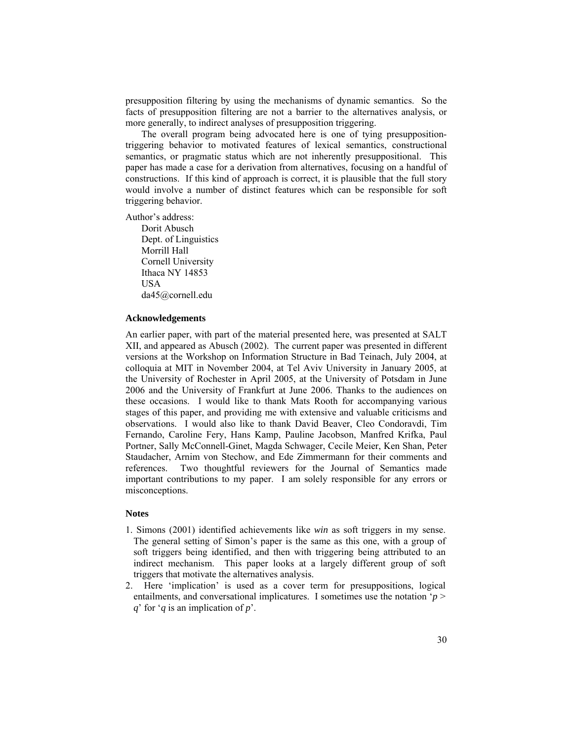presupposition filtering by using the mechanisms of dynamic semantics. So the facts of presupposition filtering are not a barrier to the alternatives analysis, or more generally, to indirect analyses of presupposition triggering.

The overall program being advocated here is one of tying presuppositiontriggering behavior to motivated features of lexical semantics, constructional semantics, or pragmatic status which are not inherently presuppositional. This paper has made a case for a derivation from alternatives, focusing on a handful of constructions. If this kind of approach is correct, it is plausible that the full story would involve a number of distinct features which can be responsible for soft triggering behavior.

Author's address:

Dorit Abusch Dept. of Linguistics Morrill Hall Cornell University Ithaca NY 14853 USA da45@cornell.edu

### **Acknowledgements**

An earlier paper, with part of the material presented here, was presented at SALT XII, and appeared as Abusch (2002). The current paper was presented in different versions at the Workshop on Information Structure in Bad Teinach, July 2004, at colloquia at MIT in November 2004, at Tel Aviv University in January 2005, at the University of Rochester in April 2005, at the University of Potsdam in June 2006 and the University of Frankfurt at June 2006. Thanks to the audiences on these occasions. I would like to thank Mats Rooth for accompanying various stages of this paper, and providing me with extensive and valuable criticisms and observations. I would also like to thank David Beaver, Cleo Condoravdi, Tim Fernando, Caroline Fery, Hans Kamp, Pauline Jacobson, Manfred Krifka, Paul Portner, Sally McConnell-Ginet, Magda Schwager, Cecile Meier, Ken Shan, Peter Staudacher, Arnim von Stechow, and Ede Zimmermann for their comments and references. Two thoughtful reviewers for the Journal of Semantics made important contributions to my paper. I am solely responsible for any errors or misconceptions.

### **Notes**

- 1. Simons (2001) identified achievements like *win* as soft triggers in my sense. The general setting of Simon's paper is the same as this one, with a group of soft triggers being identified, and then with triggering being attributed to an indirect mechanism. This paper looks at a largely different group of soft triggers that motivate the alternatives analysis.
- 2. Here 'implication' is used as a cover term for presuppositions, logical entailments, and conversational implicatures. I sometimes use the notation '*p* > *q*' for '*q* is an implication of *p*'.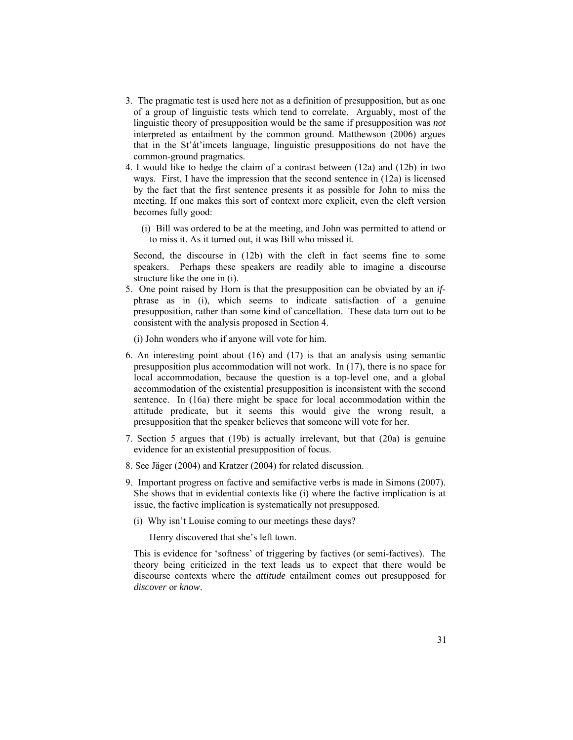- 3. The pragmatic test is used here not as a definition of presupposition, but as one of a group of linguistic tests which tend to correlate. Arguably, most of the linguistic theory of presupposition would be the same if presupposition was *not* interpreted as entailment by the common ground. Matthewson (2006) argues that in the St'át'imcets language, linguistic presuppositions do not have the common-ground pragmatics.
- 4. I would like to hedge the claim of a contrast between (12a) and (12b) in two ways. First, I have the impression that the second sentence in (12a) is licensed by the fact that the first sentence presents it as possible for John to miss the meeting. If one makes this sort of context more explicit, even the cleft version becomes fully good:
	- (i) Bill was ordered to be at the meeting, and John was permitted to attend or to miss it. As it turned out, it was Bill who missed it.

Second, the discourse in (12b) with the cleft in fact seems fine to some speakers. Perhaps these speakers are readily able to imagine a discourse structure like the one in (i).

5. One point raised by Horn is that the presupposition can be obviated by an *if*phrase as in (i), which seems to indicate satisfaction of a genuine presupposition, rather than some kind of cancellation. These data turn out to be consistent with the analysis proposed in Section 4.

(i) John wonders who if anyone will vote for him.

- 6. An interesting point about (16) and (17) is that an analysis using semantic presupposition plus accommodation will not work. In (17), there is no space for local accommodation, because the question is a top-level one, and a global accommodation of the existential presupposition is inconsistent with the second sentence. In (16a) there might be space for local accommodation within the attitude predicate, but it seems this would give the wrong result, a presupposition that the speaker believes that someone will vote for her.
- 7. Section 5 argues that (19b) is actually irrelevant, but that (20a) is genuine evidence for an existential presupposition of focus.
- 8. See Jäger (2004) and Kratzer (2004) for related discussion.
- 9. Important progress on factive and semifactive verbs is made in Simons (2007). She shows that in evidential contexts like (i) where the factive implication is at issue, the factive implication is systematically not presupposed.
	- (i) Why isn't Louise coming to our meetings these days?

Henry discovered that she's left town.

This is evidence for 'softness' of triggering by factives (or semi-factives). The theory being criticized in the text leads us to expect that there would be discourse contexts where the *attitude* entailment comes out presupposed for *discover* or *know*.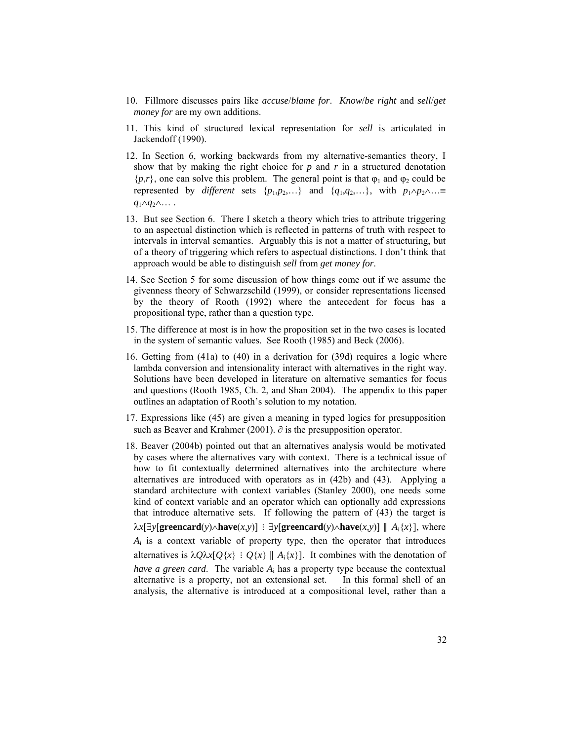- 10. Fillmore discusses pairs like *accuse*/*blame for*. *Know*/*be right* and *sell*/*get money for* are my own additions.
- 11. This kind of structured lexical representation for *sell* is articulated in Jackendoff (1990).
- 12. In Section 6, working backwards from my alternative-semantics theory, I show that by making the right choice for *p* and *r* in a structured denotation  $\{p,r\}$ , one can solve this problem. The general point is that  $\varphi_1$  and  $\varphi_2$  could be represented by *different* sets  $\{p_1, p_2, ...\}$  and  $\{q_1, q_2, ...\}$ , with  $p_1 \wedge p_2 \wedge ... \equiv$ *q*1∧*q*2∧… .
- 13. But see Section 6. There I sketch a theory which tries to attribute triggering to an aspectual distinction which is reflected in patterns of truth with respect to intervals in interval semantics. Arguably this is not a matter of structuring, but of a theory of triggering which refers to aspectual distinctions. I don't think that approach would be able to distinguish *sell* from *get money for*.
- 14. See Section 5 for some discussion of how things come out if we assume the givenness theory of Schwarzschild (1999), or consider representations licensed by the theory of Rooth (1992) where the antecedent for focus has a propositional type, rather than a question type.
- 15. The difference at most is in how the proposition set in the two cases is located in the system of semantic values. See Rooth (1985) and Beck (2006).
- 16. Getting from (41a) to (40) in a derivation for (39d) requires a logic where lambda conversion and intensionality interact with alternatives in the right way. Solutions have been developed in literature on alternative semantics for focus and questions (Rooth 1985, Ch. 2, and Shan 2004). The appendix to this paper outlines an adaptation of Rooth's solution to my notation.
- 17. Expressions like (45) are given a meaning in typed logics for presupposition such as Beaver and Krahmer (2001).  $\partial$  is the presupposition operator.
- 18. Beaver (2004b) pointed out that an alternatives analysis would be motivated by cases where the alternatives vary with context. There is a technical issue of how to fit contextually determined alternatives into the architecture where alternatives are introduced with operators as in (42b) and (43). Applying a standard architecture with context variables (Stanley 2000), one needs some kind of context variable and an operator which can optionally add expressions that introduce alternative sets. If following the pattern of (43) the target is  $\lambda x$ [∃*y*[**greencard**(*y*)∧**have**(*x,y*)] : ∃*y*[**greencard**(*y*)∧**have**(*x,y*)] || *A*<sub>i</sub>{*x*}], where  $A_i$  is a context variable of property type, then the operator that introduces alternatives is  $\lambda Q \lambda x [Q \{x\} : Q \{x\} || A_i \{x\}]$ . It combines with the denotation of *have a green card*. The variable *A*i has a property type because the contextual alternative is a property, not an extensional set. In this formal shell of an analysis, the alternative is introduced at a compositional level, rather than a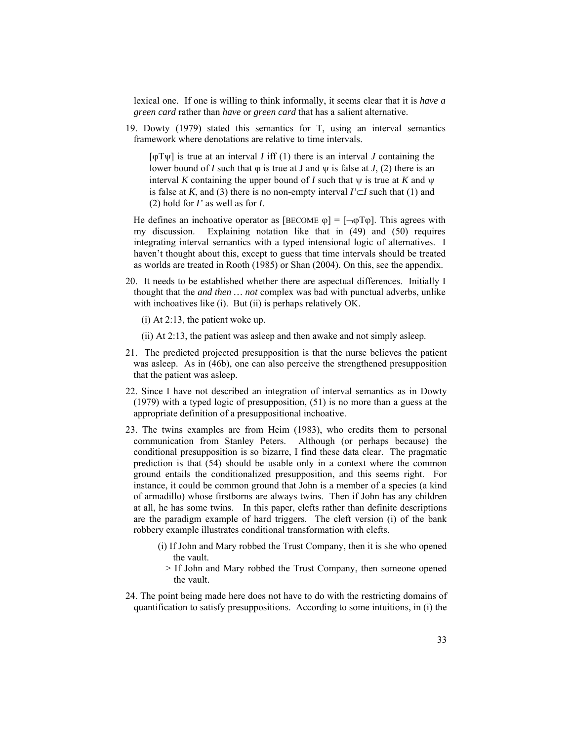lexical one. If one is willing to think informally, it seems clear that it is *have a green card* rather than *have* or *green card* that has a salient alternative.

19. Dowty (1979) stated this semantics for T, using an interval semantics framework where denotations are relative to time intervals.

 $\lceil \phi \rceil \psi \rceil$  is true at an interval *I* iff (1) there is an interval *J* containing the lower bound of *I* such that  $\varphi$  is true at *J* and  $\psi$  is false at *J*, (2) there is an interval *K* containing the upper bound of *I* such that  $\psi$  is true at *K* and  $\psi$ is false at *K*, and (3) there is no non-empty interval  $I' \subset I$  such that (1) and (2) hold for *I'* as well as for *I*.

He defines an inchoative operator as  $[BECOME \varphi] = [\neg \varphi T\varphi]$ . This agrees with my discussion. Explaining notation like that in (49) and (50) requires integrating interval semantics with a typed intensional logic of alternatives. I haven't thought about this, except to guess that time intervals should be treated as worlds are treated in Rooth (1985) or Shan (2004). On this, see the appendix.

- 20. It needs to be established whether there are aspectual differences. Initially I thought that the *and then … not* complex was bad with punctual adverbs, unlike with inchoatives like (i). But (ii) is perhaps relatively OK.
	- (i) At 2:13, the patient woke up.
	- (ii) At 2:13, the patient was asleep and then awake and not simply asleep.
- 21. The predicted projected presupposition is that the nurse believes the patient was asleep. As in (46b), one can also perceive the strengthened presupposition that the patient was asleep.
- 22. Since I have not described an integration of interval semantics as in Dowty (1979) with a typed logic of presupposition, (51) is no more than a guess at the appropriate definition of a presuppositional inchoative.
- 23. The twins examples are from Heim (1983), who credits them to personal communication from Stanley Peters. Although (or perhaps because) the conditional presupposition is so bizarre, I find these data clear. The pragmatic prediction is that (54) should be usable only in a context where the common ground entails the conditionalized presupposition, and this seems right. For instance, it could be common ground that John is a member of a species (a kind of armadillo) whose firstborns are always twins. Then if John has any children at all, he has some twins. In this paper, clefts rather than definite descriptions are the paradigm example of hard triggers. The cleft version (i) of the bank robbery example illustrates conditional transformation with clefts.
	- (i) If John and Mary robbed the Trust Company, then it is she who opened the vault.
		- > If John and Mary robbed the Trust Company, then someone opened the vault.
- 24. The point being made here does not have to do with the restricting domains of quantification to satisfy presuppositions. According to some intuitions, in (i) the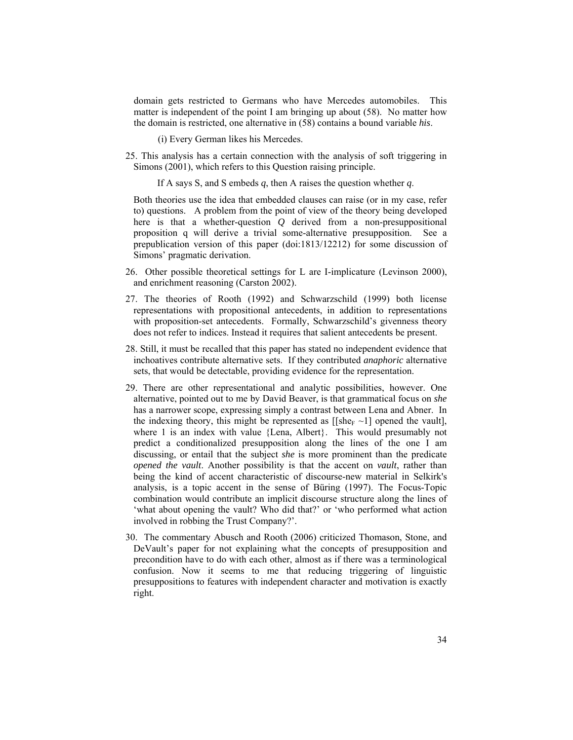domain gets restricted to Germans who have Mercedes automobiles. This matter is independent of the point I am bringing up about (58). No matter how the domain is restricted, one alternative in (58) contains a bound variable *his*.

(i) Every German likes his Mercedes.

25. This analysis has a certain connection with the analysis of soft triggering in Simons (2001), which refers to this Question raising principle.

If A says S, and S embeds *q*, then A raises the question whether *q*.

Both theories use the idea that embedded clauses can raise (or in my case, refer to) questions. A problem from the point of view of the theory being developed here is that a whether-question *Q* derived from a non-presuppositional proposition q will derive a trivial some-alternative presupposition. See a prepublication version of this paper (doi:1813/12212) for some discussion of Simons' pragmatic derivation.

- 26. Other possible theoretical settings for L are I-implicature (Levinson 2000), and enrichment reasoning (Carston 2002).
- 27. The theories of Rooth (1992) and Schwarzschild (1999) both license representations with propositional antecedents, in addition to representations with proposition-set antecedents. Formally, Schwarzschild's givenness theory does not refer to indices. Instead it requires that salient antecedents be present.
- 28. Still, it must be recalled that this paper has stated no independent evidence that inchoatives contribute alternative sets. If they contributed *anaphoric* alternative sets, that would be detectable, providing evidence for the representation.
- 29. There are other representational and analytic possibilities, however. One alternative, pointed out to me by David Beaver, is that grammatical focus on *she* has a narrower scope, expressing simply a contrast between Lena and Abner. In the indexing theory, this might be represented as  $[$ [she $_F \sim 1]$ ] opened the vault], where 1 is an index with value {Lena, Albert}. This would presumably not predict a conditionalized presupposition along the lines of the one I am discussing, or entail that the subject *she* is more prominent than the predicate *opened the vault*. Another possibility is that the accent on *vault*, rather than being the kind of accent characteristic of discourse-new material in Selkirk's analysis, is a topic accent in the sense of Büring (1997). The Focus-Topic combination would contribute an implicit discourse structure along the lines of 'what about opening the vault? Who did that?' or 'who performed what action involved in robbing the Trust Company?'.
- 30. The commentary Abusch and Rooth (2006) criticized Thomason, Stone, and DeVault's paper for not explaining what the concepts of presupposition and precondition have to do with each other, almost as if there was a terminological confusion. Now it seems to me that reducing triggering of linguistic presuppositions to features with independent character and motivation is exactly right.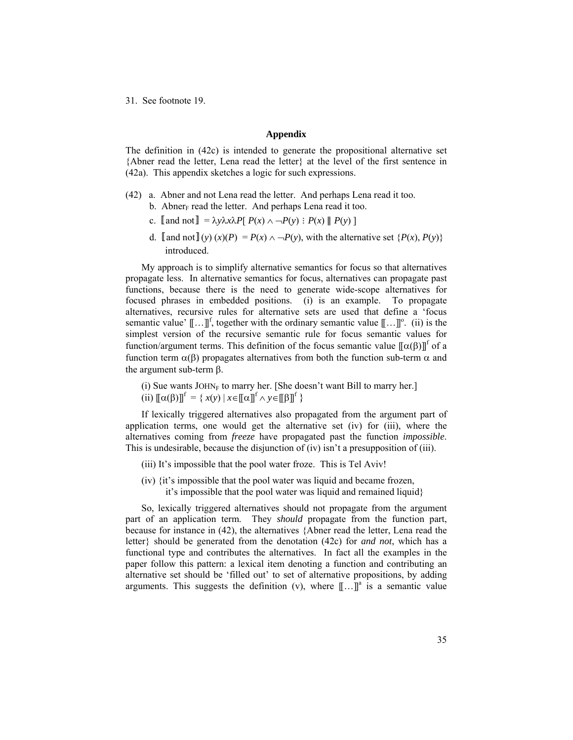31. See footnote 19.

## **Appendix**

The definition in (42c) is intended to generate the propositional alternative set {Abner read the letter, Lena read the letter} at the level of the first sentence in (42a). This appendix sketches a logic for such expressions.

- (42) a. Abner and not Lena read the letter. And perhaps Lena read it too.
	- b. Abner<sub>F</sub> read the letter. And perhaps Lena read it too.
	- c.  $\llbracket$  and not  $\rrbracket = \lambda y \lambda x \lambda P \llbracket P(x) \wedge \neg P(y) : P(x) \parallel P(y) \rrbracket$
	- d. **[and not]**(*y*) (*x*)(*P*) = *P*(*x*) ∧ → *P*(*y*), with the alternative set {*P*(*x*), *P*(*y*)} introduced.

My approach is to simplify alternative semantics for focus so that alternatives propagate less. In alternative semantics for focus, alternatives can propagate past functions, because there is the need to generate wide-scope alternatives for focused phrases in embedded positions. (i) is an example. To propagate alternatives, recursive rules for alternative sets are used that define a 'focus semantic value'  $[\![...]\!]^f$ , together with the ordinary semantic value  $[\![...]\!]^\circ$ . (ii) is the simplest version of the recursive semantic rule for focus semantic values for function/argument terms. This definition of the focus semantic value  $[\![\alpha(\beta)]\!]^{\text{f}}$  of a function term  $\alpha(\beta)$  propagates alternatives from both the function sub-term  $\alpha$  and the argument sub-term β.

(i) Sue wants  $JOHN<sub>F</sub>$  to marry her. [She doesn't want Bill to marry her.]

(ii)  $[(\alpha(\beta))]^f = \{ x(y) \mid x \in [[\alpha]]^f \land y \in [[\beta]]^f \}$ 

If lexically triggered alternatives also propagated from the argument part of application terms, one would get the alternative set (iv) for (iii), where the alternatives coming from *freeze* have propagated past the function *impossible*. This is undesirable, because the disjunction of (iv) isn't a presupposition of (iii).

- (iii) It's impossible that the pool water froze. This is Tel Aviv!
- (iv) {it's impossible that the pool water was liquid and became frozen, it's impossible that the pool water was liquid and remained liquid}

So, lexically triggered alternatives should not propagate from the argument part of an application term. They *should* propagate from the function part, because for instance in (42), the alternatives {Abner read the letter, Lena read the letter} should be generated from the denotation (42c) for *and not*, which has a functional type and contributes the alternatives. In fact all the examples in the paper follow this pattern: a lexical item denoting a function and contributing an alternative set should be 'filled out' to set of alternative propositions, by adding arguments. This suggests the definition (v), where  $[[...]$ <sup>a</sup> is a semantic value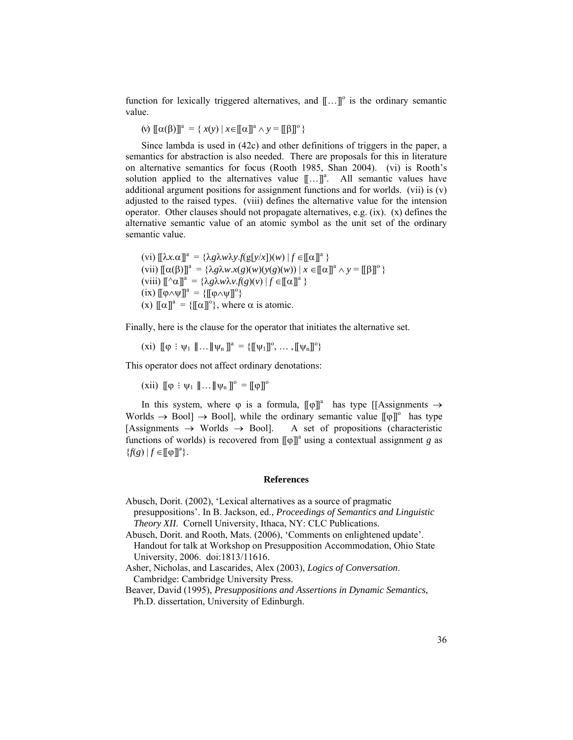function for lexically triggered alternatives, and  $[\![...]\!]^\circ$  is the ordinary semantic value.

$$
(v) \llbracket \alpha(\beta) \rrbracket^a = \{ x(y) \mid x \in \llbracket \alpha \rrbracket^a \land y = \llbracket \beta \rrbracket^o \}
$$

Since lambda is used in (42c) and other definitions of triggers in the paper, a semantics for abstraction is also needed. There are proposals for this in literature on alternative semantics for focus (Rooth 1985, Shan 2004). (vi) is Rooth's solution applied to the alternatives value  $[\![...]\!]$ <sup>a</sup>. All semantic values have additional argument positions for assignment functions and for worlds. (vii) is (v) adjusted to the raised types. (viii) defines the alternative value for the intension operator. Other clauses should not propagate alternatives, e.g.  $(ix)$ .  $(x)$  defines the alternative semantic value of an atomic symbol as the unit set of the ordinary semantic value.

 $(vi)$   $[\![\lambda x.\alpha]\!]^a = {\lambda g \lambda w \lambda y.f(g[y/x])(w) | f \in [[\alpha]]^a \}$  $(vii)$   $[(\alpha(\beta))]^a = {\lambda g \lambda w.x(g)(w)(y(g)(w)) | x \in [[\alpha]]^a \land y = [[\beta]]^o}$  $(viii)$   $[\![ \uparrow \alpha ]\!]^a = {\lambda g \lambda w \lambda v f(g)(v) | f \in [\![ \alpha ]\!]^a }$  $(ix)$   $[\![\varphi \wedge \psi]\!]^a = {\{\![\varphi \wedge \psi]\!]^o\}}$ (x)  $[\![\alpha]\!]^a = {\{\!}[\![\alpha]\!]^o{\!\}}$ , where  $\alpha$  is atomic.

Finally, here is the clause for the operator that initiates the alternative set.

(xi)  $\llbracket \phi : \psi_1 \rrbracket \dots \llbracket \psi_n \rrbracket^a = \{\llbracket \psi_1 \rrbracket^o, \dots, \llbracket \psi_n \rrbracket^o \}$ 

This operator does not affect ordinary denotations:

(xii)  $[\![\phi : \psi_1 \parallel \dots \parallel \psi_n \]]^\circ = [\![\phi]\!]^\circ$ 

In this system, where  $\varphi$  is a formula,  $[\![\varphi]\!]^a$  has type [[Assignments  $\rightarrow$ Worlds  $\rightarrow$  Bool]  $\rightarrow$  Bool], while the ordinary semantic value  $[\![\varphi]\!]^\circ$  has type  $[Assigments \rightarrow Worlds \rightarrow Bool]$ . A set of propositions (characteristic functions of worlds) is recovered from  $[\![\varphi]\!]$ <sup>a</sup> using a contextual assignment *g* as  ${f(g) | f \in [\![\phi]\!]^a}.$ 

### **References**

Abusch, Dorit. (2002), 'Lexical alternatives as a source of pragmatic presuppositions'. In B. Jackson, ed., *Proceedings of Semantics and Linguistic Theory XII*. Cornell University, Ithaca, NY: CLC Publications.

Abusch, Dorit. and Rooth, Mats. (2006), 'Comments on enlightened update'. Handout for talk at Workshop on Presupposition Accommodation, Ohio State University, 2006. doi:1813/11616.

- Asher, Nicholas, and Lascarides, Alex (2003), *Logics of Conversation*. Cambridge: Cambridge University Press.
- Beaver, David (1995), *Presuppositions and Assertions in Dynamic Semantics*, Ph.D. dissertation, University of Edinburgh.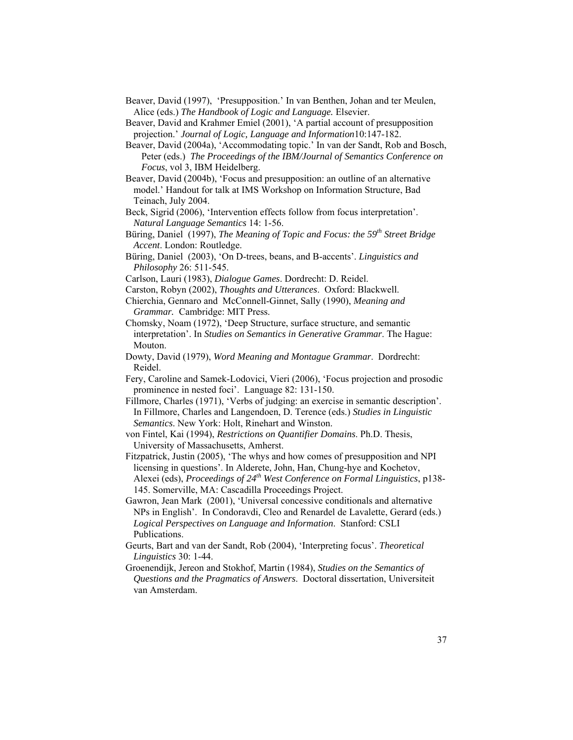- Beaver, David (1997), 'Presupposition.' In van Benthen, Johan and ter Meulen, Alice (eds.) *The Handbook of Logic and Language.* Elsevier.
- Beaver, David and Krahmer Emiel (2001), 'A partial account of presupposition projection.' *Journal of Logic, Language and Information*10:147-182.
- Beaver, David (2004a), 'Accommodating topic.' In van der Sandt, Rob and Bosch, Peter (eds.) *The Proceedings of the IBM/Journal of Semantics Conference on Focus*, vol 3, IBM Heidelberg.
- Beaver, David (2004b), 'Focus and presupposition: an outline of an alternative model.' Handout for talk at IMS Workshop on Information Structure, Bad Teinach, July 2004.
- Beck, Sigrid (2006), 'Intervention effects follow from focus interpretation'. *Natural Language Semantics* 14: 1-56.
- Büring, Daniel (1997), *The Meaning of Topic and Focus: the 59th Street Bridge Accent*. London: Routledge.
- Büring, Daniel (2003), 'On D-trees, beans, and B-accents'. *Linguistics and Philosophy* 26: 511-545.
- Carlson, Lauri (1983), *Dialogue Games*. Dordrecht: D. Reidel.
- Carston, Robyn (2002), *Thoughts and Utterances*. Oxford: Blackwell.
- Chierchia, Gennaro and McConnell-Ginnet, Sally (1990), *Meaning and Grammar.* Cambridge: MIT Press.
- Chomsky, Noam (1972), 'Deep Structure, surface structure, and semantic interpretation'. In *Studies on Semantics in Generative Grammar*. The Hague: Mouton.
- Dowty, David (1979), *Word Meaning and Montague Grammar*. Dordrecht: Reidel.
- Fery, Caroline and Samek-Lodovici, Vieri (2006), 'Focus projection and prosodic prominence in nested foci'. Language 82: 131-150.
- Fillmore, Charles (1971), 'Verbs of judging: an exercise in semantic description'. In Fillmore, Charles and Langendoen, D. Terence (eds.) *Studies in Linguistic Semantics*. New York: Holt, Rinehart and Winston.
- von Fintel, Kai (1994), *Restrictions on Quantifier Domains*. Ph.D. Thesis, University of Massachusetts, Amherst.
- Fitzpatrick, Justin (2005), 'The whys and how comes of presupposition and NPI licensing in questions'. In Alderete, John, Han, Chung-hye and Kochetov, Alexei (eds), *Proceedings of 24<sup>th</sup>* West Conference on Formal Linguistics, p138-145. Somerville, MA: Cascadilla Proceedings Project.
- Gawron, Jean Mark (2001), 'Universal concessive conditionals and alternative NPs in English'. In Condoravdi, Cleo and Renardel de Lavalette, Gerard (eds.) *Logical Perspectives on Language and Information*. Stanford: CSLI Publications.
- Geurts, Bart and van der Sandt, Rob (2004), 'Interpreting focus'. *Theoretical Linguistics* 30: 1-44.
- Groenendijk, Jereon and Stokhof, Martin (1984), *Studies on the Semantics of Questions and the Pragmatics of Answers*. Doctoral dissertation, Universiteit van Amsterdam.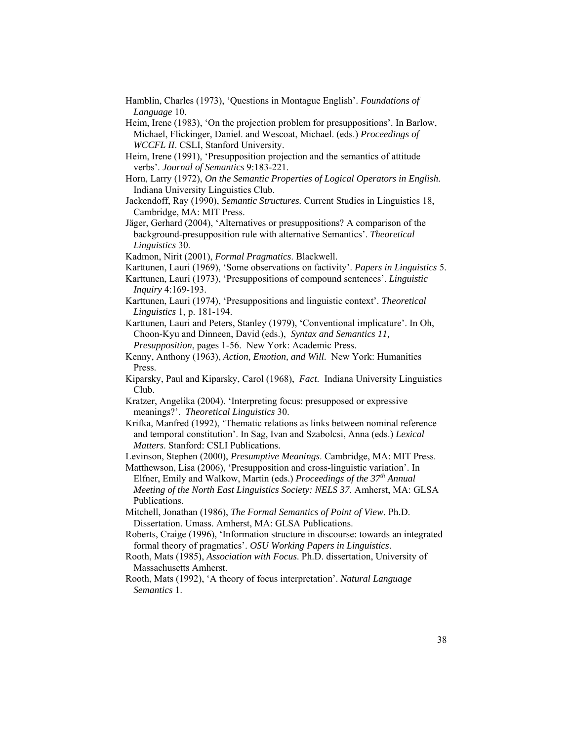- Hamblin, Charles (1973), 'Questions in Montague English'. *Foundations of Language* 10.
- Heim, Irene (1983), 'On the projection problem for presuppositions'. In Barlow, Michael, Flickinger, Daniel. and Wescoat, Michael. (eds.) *Proceedings of WCCFL II*. CSLI, Stanford University.
- Heim, Irene (1991), 'Presupposition projection and the semantics of attitude verbs'. *Journal of Semantics* 9:183-221.
- Horn, Larry (1972), *On the Semantic Properties of Logical Operators in English*. Indiana University Linguistics Club.
- Jackendoff, Ray (1990), *Semantic Structures.* Current Studies in Linguistics 18, Cambridge, MA: MIT Press.
- Jäger, Gerhard (2004), 'Alternatives or presuppositions? A comparison of the background-presupposition rule with alternative Semantics'. *Theoretical Linguistics* 30.
- Kadmon, Nirit (2001), *Formal Pragmatics*. Blackwell.
- Karttunen, Lauri (1969), 'Some observations on factivity'. *Papers in Linguistics* 5.
- Karttunen, Lauri (1973), 'Presuppositions of compound sentences'. *Linguistic Inquiry* 4:169-193.
- Karttunen, Lauri (1974), 'Presuppositions and linguistic context'. *Theoretical Linguistics* 1, p. 181-194.
- Karttunen, Lauri and Peters, Stanley (1979), 'Conventional implicature'. In Oh, Choon-Kyu and Dinneen, David (eds.), *Syntax and Semantics 11, Presupposition*, pages 1-56. New York: Academic Press.
- Kenny, Anthony (1963), *Action, Emotion, and Will*. New York: Humanities Press.
- Kiparsky, Paul and Kiparsky, Carol (1968), *Fact*. Indiana University Linguistics Club.
- Kratzer, Angelika (2004). 'Interpreting focus: presupposed or expressive meanings?'. *Theoretical Linguistics* 30.
- Krifka, Manfred (1992), 'Thematic relations as links between nominal reference and temporal constitution'. In Sag, Ivan and Szabolcsi, Anna (eds.) *Lexical Matters*. Stanford: CSLI Publications.
- Levinson, Stephen (2000), *Presumptive Meanings*. Cambridge, MA: MIT Press.

Matthewson, Lisa (2006), 'Presupposition and cross-linguistic variation'. In Elfner, Emily and Walkow, Martin (eds.) *Proceedings of the 37<sup>th</sup> Annual Meeting of the North East Linguistics Society: NELS 37.* Amherst, MA: GLSA Publications.

- Mitchell, Jonathan (1986), *The Formal Semantics of Point of View*. Ph.D. Dissertation. Umass. Amherst, MA: GLSA Publications.
- Roberts, Craige (1996), 'Information structure in discourse: towards an integrated formal theory of pragmatics'. *OSU Working Papers in Linguistics*.
- Rooth, Mats (1985), *Association with Focus*. Ph.D. dissertation, University of Massachusetts Amherst.
- Rooth, Mats (1992), 'A theory of focus interpretation'. *Natural Language Semantics* 1.